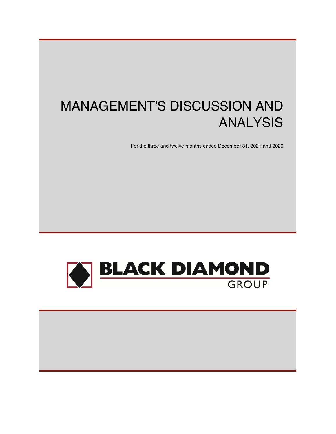# MANAGEMENT'S DISCUSSION AND ANALYSIS

For the three and twelve months ended December 31, 2021 and 2020



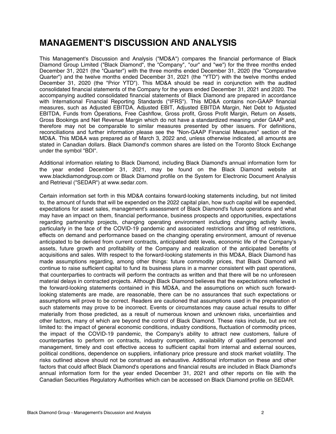## **MANAGEMENT'S DISCUSSION AND ANALYSIS**

This Management's Discussion and Analysis ("MD&A") compares the financial performance of Black Diamond Group Limited ("Black Diamond", the "Company", "our" and "we") for the three months ended December 31, 2021 (the "Quarter") with the three months ended December 31, 2020 (the "Comparative Quarter") and the twelve months ended December 31, 2021 (the "YTD") with the twelve months ended December 31, 2020 (the "Prior YTD"). This MD&A should be read in conjunction with the audited consolidated financial statements of the Company for the years ended December 31, 2021 and 2020. The accompanying audited consolidated financial statements of Black Diamond are prepared in accordance with International Financial Reporting Standards ("IFRS"). This MD&A contains non-GAAP financial measures, such as Adjusted EBITDA, Adjusted EBIT, Adjusted EBITDA Margin, Net Debt to Adjusted EBITDA, Funds from Operations, Free Cashflow, Gross profit, Gross Profit Margin, Return on Assets, Gross Bookings and Net Revenue Margin which do not have a standardized meaning under GAAP and, therefore may not be comparable to similar measures presented by other issuers. For definitions, reconciliations and further information please see the "Non-GAAP Financial Measures" section of the MD&A. This MD&A was prepared as of March 3, 2022 and, unless otherwise indicated, all amounts are stated in Canadian dollars. Black Diamond's common shares are listed on the Toronto Stock Exchange under the symbol "BDI".

Additional information relating to Black Diamond, including Black Diamond's annual information form for the year ended December 31, 2021, may be found on the Black Diamond website at [www.blackdiamondgroup.com](http://www.blackdiamondgroup.com) or Black Diamond profile on the System for Electronic Document Analysis and Retrieval ("SEDAR") at [www.sedar.com.](http://www.sedar.com)

Certain information set forth in this MD&A contains forward-looking statements including, but not limited to, the amount of funds that will be expended on the 2022 capital plan, how such capital will be expended, expectations for asset sales, management's assessment of Black Diamond's future operations and what may have an impact on them, financial performance, business prospects and opportunities, expectations regarding partnership projects, changing operating environment including changing activity levels, particularly in the face of the COVID-19 pandemic and associated restrictions and lifting of restrictions, effects on demand and performance based on the changing operating environment, amount of revenue anticipated to be derived from current contracts, anticipated debt levels, economic life of the Company's assets, future growth and profitability of the Company and realization of the anticipated benefits of acquisitions and sales. With respect to the forward-looking statements in this MD&A, Black Diamond has made assumptions regarding, among other things: future commodity prices, that Black Diamond will continue to raise sufficient capital to fund its business plans in a manner consistent with past operations, that counterparties to contracts will perform the contracts as written and that there will be no unforeseen material delays in contracted projects. Although Black Diamond believes that the expectations reflected in the forward-looking statements contained in this MD&A, and the assumptions on which such forwardlooking statements are made, are reasonable, there can be no assurances that such expectations or assumptions will prove to be correct. Readers are cautioned that assumptions used in the preparation of such statements may prove to be incorrect. Events or circumstances may cause actual results to differ materially from those predicted, as a result of numerous known and unknown risks, uncertainties and other factors, many of which are beyond the control of Black Diamond. These risks include, but are not limited to: the impact of general economic conditions, industry conditions, fluctuation of commodity prices, the impact of the COVID-19 pandemic, the Company's ability to attract new customers, failure of counterparties to perform on contracts, industry competition, availability of qualified personnel and management, timely and cost effective access to sufficient capital from internal and external sources, political conditions, dependence on suppliers, inflationary price pressure and stock market volatility. The risks outlined above should not be construed as exhaustive. Additional information on these and other factors that could affect Black Diamond's operations and financial results are included in Black Diamond's annual information form for the year ended December 31, 2021 and other reports on file with the Canadian Securities Regulatory Authorities which can be accessed on Black Diamond profile on SEDAR.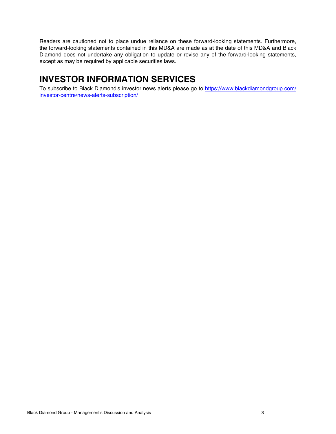Readers are cautioned not to place undue reliance on these forward-looking statements. Furthermore, the forward-looking statements contained in this MD&A are made as at the date of this MD&A and Black Diamond does not undertake any obligation to update or revise any of the forward-looking statements, except as may be required by applicable securities laws.

## **INVESTOR INFORMATION SERVICES**

To subscribe to Black Diamond's investor news alerts please go to [https://www.blackdiamondgroup.com/](https://www.blackdiamondgroup.com/investor-centre/news-alerts-subscription/) [investor-centre/news-alerts-subscription/](https://www.blackdiamondgroup.com/investor-centre/news-alerts-subscription/)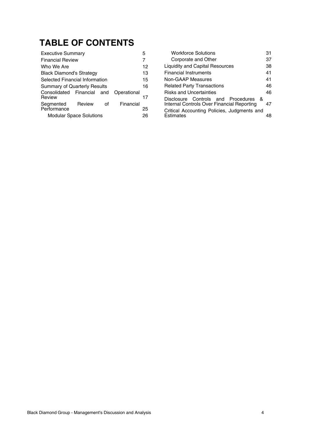## **TABLE OF CONTENTS**

| <b>Executive Summary</b>            |        |    |             | 5  |
|-------------------------------------|--------|----|-------------|----|
| <b>Financial Review</b>             |        |    |             |    |
| Who We Are                          |        |    |             | 12 |
| <b>Black Diamond's Strategy</b>     |        |    |             | 13 |
| Selected Financial Information      |        |    |             | 15 |
| <b>Summary of Quarterly Results</b> |        |    |             | 16 |
| Consolidated Financial and          |        |    | Operational |    |
| Review                              |        |    |             | 17 |
| Segmented                           | Review | of | Financial   |    |
| Performance                         |        |    |             | 25 |
| <b>Modular Space Solutions</b>      |        |    |             | 26 |

| <b>Workforce Solutions</b>                                                         | 31 |
|------------------------------------------------------------------------------------|----|
| Corporate and Other                                                                | 37 |
| <b>Liquidity and Capital Resources</b>                                             | 38 |
| <b>Financial Instruments</b>                                                       | 41 |
| Non-GAAP Measures                                                                  | 41 |
| <b>Related Party Transactions</b>                                                  | 46 |
| <b>Risks and Uncertainties</b>                                                     | 46 |
| Disclosure Controls and Procedures &<br>Internal Controls Over Financial Reporting | 47 |
| Critical Accounting Policies, Judgments and<br>Estimates                           |    |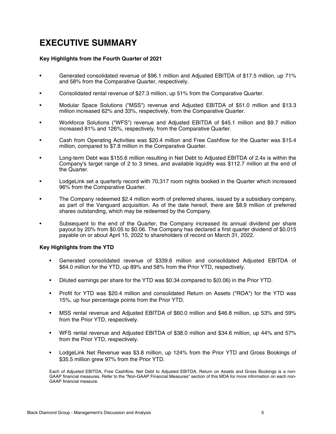## <span id="page-4-0"></span>**EXECUTIVE SUMMARY**

#### **Key Highlights from the Fourth Quarter of 2021**

- Generated consolidated revenue of \$96.1 million and Adjusted EBITDA of \$17.5 million, up 71% and 58% from the Comparative Quarter, respectively.
- Consolidated rental revenue of \$27.3 million, up 51% from the Comparative Quarter.
- Modular Space Solutions ("MSS") revenue and Adjusted EBITDA of \$51.0 million and \$13.3 million increased 62% and 33%, respectively, from the Comparative Quarter.
- Workforce Solutions ("WFS") revenue and Adjusted EBITDA of \$45.1 million and \$9.7 million increased 81% and 126%, respectively, from the Comparative Quarter.
- Cash from Operating Activities was \$20.4 million and Free Cashflow for the Quarter was \$15.4 million, compared to \$7.8 million in the Comparative Quarter.
- Long-term Debt was \$155.6 million resulting in Net Debt to Adjusted EBITDA of 2.4x is within the Company's target range of 2 to 3 times, and available liquidity was \$112.7 million at the end of the Quarter.
- LodgeLink set a quarterly record with 70,317 room nights booked in the Quarter which increased 96% from the Comparative Quarter.
- The Company redeemed \$2.4 million worth of preferred shares, issued by a subsidiary company, as part of the Vanguard acquisition. As of the date hereof, there are \$8.9 million of preferred shares outstanding, which may be redeemed by the Company.
- Subsequent to the end of the Quarter, the Company increased its annual dividend per share payout by 20% from \$0.05 to \$0.06. The Company has declared a first quarter dividend of \$0.015 payable on or about April 15, 2022 to shareholders of record on March 31, 2022.

#### **Key Highlights from the YTD**

- Generated consolidated revenue of \$339.6 million and consolidated Adjusted EBITDA of \$64.0 million for the YTD, up 89% and 58% from the Prior YTD, respectively.
- Diluted earnings per share for the YTD was \$0.34 compared to \$(0.06) in the Prior YTD.
- Profit for YTD was \$20.4 million and consolidated Return on Assets ("ROA") for the YTD was 15%, up four percentage points from the Prior YTD.
- MSS rental revenue and Adjusted EBITDA of \$60.0 million and \$46.8 million, up 53% and 59% from the Prior YTD, respectively.
- WFS rental revenue and Adjusted EBITDA of \$38.0 million and \$34.6 million, up 44% and 57% from the Prior YTD, respectively.
- LodgeLink Net Revenue was \$3.8 million, up 124% from the Prior YTD and Gross Bookings of \$35.5 million grew 97% from the Prior YTD.

Each of Adjusted EBITDA, Free Cashflow, Net Debt to Adjusted EBITDA, Return on Assets and Gross Bookings is a non-GAAP financial measures. Refer to the "Non-GAAP Financial Measures" section of this MDA for more information on each non-GAAP financial measure.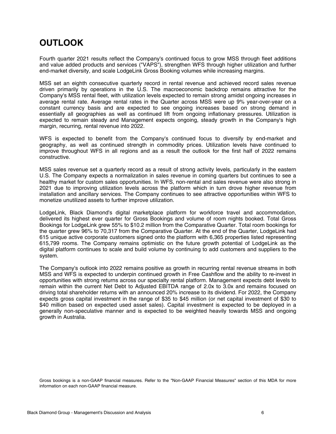## **OUTLOOK**

Fourth quarter 2021 results reflect the Company's continued focus to grow MSS through fleet additions and value added products and services ("VAPS"), strengthen WFS through higher utilization and further end-market diversity, and scale LodgeLink Gross Booking volumes while increasing margins.

MSS set an eighth consecutive quarterly record in rental revenue and achieved record sales revenue driven primarily by operations in the U.S. The macroeconomic backdrop remains attractive for the Company's MSS rental fleet, with utilization levels expected to remain strong amidst ongoing increases in average rental rate. Average rental rates in the Quarter across MSS were up 9% year-over-year on a constant currency basis and are expected to see ongoing increases based on strong demand in essentially all geographies as well as continued lift from ongoing inflationary pressures. Utilization is expected to remain steady and Management expects ongoing, steady growth in the Company's high margin, recurring, rental revenue into 2022.

WFS is expected to benefit from the Company's continued focus to diversify by end-market and geography, as well as continued strength in commodity prices. Utilization levels have continued to improve throughout WFS in all regions and as a result the outlook for the first half of 2022 remains constructive.

MSS sales revenue set a quarterly record as a result of strong activity levels, particularly in the eastern U.S. The Company expects a normalization in sales revenue in coming quarters but continues to see a healthy market for custom sales opportunities. In WFS, non-rental and sales revenue were also strong in 2021 due to improving utilization levels across the platform which in turn drove higher revenue from installation and ancillary services. The Company continues to see attractive opportunities within WFS to monetize unutilized assets to further improve utilization.

LodgeLink, Black Diamond's digital marketplace platform for workforce travel and accommodation, delivered its highest ever quarter for Gross Bookings and volume of room nights booked. Total Gross Bookings for LodgeLink grew 55% to \$10.2 million from the Comparative Quarter. Total room bookings for the quarter grew 96% to 70,317 from the Comparative Quarter. At the end of the Quarter, LodgeLink had 615 unique active corporate customers signed onto the platform with 6,365 properties listed representing 615,799 rooms. The Company remains optimistic on the future growth potential of LodgeLink as the digital platform continues to scale and build volume by continuing to add customers and suppliers to the system.

The Company's outlook into 2022 remains positive as growth in recurring rental revenue streams in both MSS and WFS is expected to underpin continued growth in Free Cashflow and the ability to re-invest in opportunities with strong returns across our specialty rental platform. Management expects debt levels to remain within the current Net Debt to Adjusted EBITDA range of 2.0x to 3.0x and remains focused on driving total shareholder returns with an announced 20% increase to its dividend. For 2022, the Company expects gross capital investment in the range of \$35 to \$45 million (or net capital investment of \$30 to \$40 million based on expected used asset sales). Capital investment is expected to be deployed in a generally non-speculative manner and is expected to be weighted heavily towards MSS and ongoing growth in Australia.

Gross bookings is a non-GAAP financial measures. Refer to the "Non-GAAP Financial Measures" section of this MDA for more information on each non-GAAP financial measure.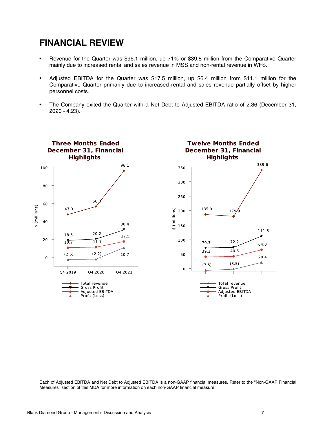## **FINANCIAL REVIEW**

- Revenue for the Quarter was \$96.1 million, up 71% or \$39.8 million from the Comparative Quarter mainly due to increased rental and sales revenue in MSS and non-rental revenue in WFS.
- Adjusted EBITDA for the Quarter was \$17.5 million, up \$6.4 million from \$11.1 million for the Comparative Quarter primarily due to increased rental and sales revenue partially offset by higher personnel costs.
- The Company exited the Quarter with a Net Debt to Adjusted EBITDA ratio of 2.36 (December 31, 2020 - 4.23).



Each of Adjusted EBITDA and Net Debt to Adjusted EBITDA is a non-GAAP financial measures. Refer to the "Non-GAAP Financial Measures" section of this MDA for more information on each non-GAAP financial measure.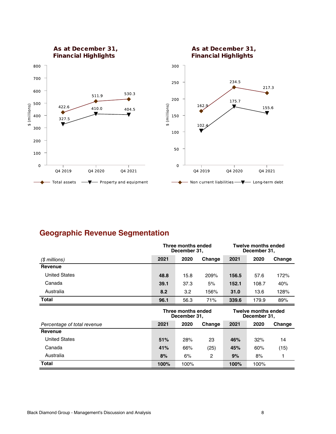

## **Geographic Revenue Segmentation**

|                             |      | Three months ended<br>December 31, |                |       | <b>Twelve months ended</b><br>December 31, |        |
|-----------------------------|------|------------------------------------|----------------|-------|--------------------------------------------|--------|
| (\$ millions)               | 2021 | 2020                               | Change         | 2021  | 2020                                       | Change |
| Revenue                     |      |                                    |                |       |                                            |        |
| <b>United States</b>        | 48.8 | 15.8                               | 209%           | 156.5 | 57.6                                       | 172%   |
| Canada                      | 39.1 | 37.3                               | 5%             | 152.1 | 108.7                                      | 40%    |
| Australia                   | 8.2  | 3.2                                | 156%           | 31.0  | 13.6                                       | 128%   |
| <b>Total</b>                | 96.1 | 56.3                               | 71%            | 339.6 | 179.9                                      | 89%    |
|                             |      |                                    |                |       |                                            |        |
|                             |      | Three months ended<br>December 31, |                |       | <b>Twelve months ended</b><br>December 31, |        |
| Percentage of total revenue | 2021 | 2020                               | Change         | 2021  | 2020                                       | Change |
| Revenue                     |      |                                    |                |       |                                            |        |
| <b>United States</b>        | 51%  | 28%                                | 23             | 46%   | 32%                                        | 14     |
| Canada                      | 41%  | 66%                                | (25)           | 45%   | 60%                                        | (15)   |
| Australia                   | 8%   | 6%                                 | $\overline{c}$ | 9%    | 8%                                         |        |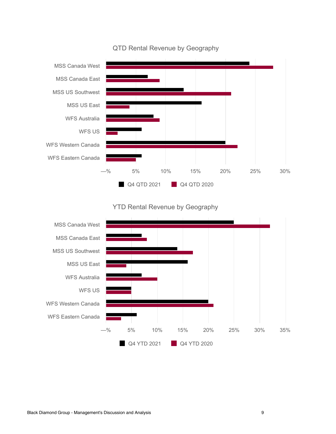

#### QTD Rental Revenue by Geography

#### YTD Rental Revenue by Geography

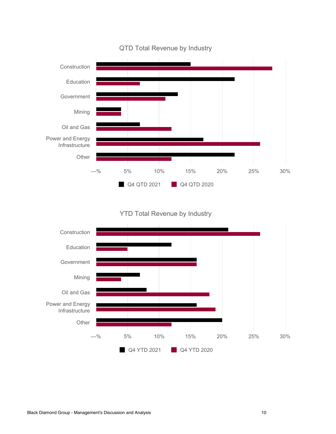

QTD Total Revenue by Industry

YTD Total Revenue by Industry

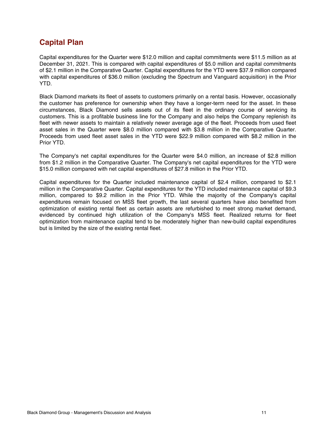## **Capital Plan**

Capital expenditures for the Quarter were \$12.0 million and capital commitments were \$11.5 million as at December 31, 2021. This is compared with capital expenditures of \$5.0 million and capital commitments of \$2.1 million in the Comparative Quarter. Capital expenditures for the YTD were \$37.9 million compared with capital expenditures of \$36.0 million (excluding the Spectrum and Vanguard acquisition) in the Prior YTD.

Black Diamond markets its fleet of assets to customers primarily on a rental basis. However, occasionally the customer has preference for ownership when they have a longer-term need for the asset. In these circumstances, Black Diamond sells assets out of its fleet in the ordinary course of servicing its customers. This is a profitable business line for the Company and also helps the Company replenish its fleet with newer assets to maintain a relatively newer average age of the fleet. Proceeds from used fleet asset sales in the Quarter were \$8.0 million compared with \$3.8 million in the Comparative Quarter. Proceeds from used fleet asset sales in the YTD were \$22.9 million compared with \$8.2 million in the Prior YTD.

The Company's net capital expenditures for the Quarter were \$4.0 million, an increase of \$2.8 million from \$1.2 million in the Comparative Quarter. The Company's net capital expenditures for the YTD were \$15.0 million compared with net capital expenditures of \$27.8 million in the Prior YTD.

Capital expenditures for the Quarter included maintenance capital of \$2.4 million, compared to \$2.1 million in the Comparative Quarter. Capital expenditures for the YTD included maintenance capital of \$9.3 million, compared to \$9.2 million in the Prior YTD. While the majority of the Company's capital expenditures remain focused on MSS fleet growth, the last several quarters have also benefited from optimization of existing rental fleet as certain assets are refurbished to meet strong market demand, evidenced by continued high utilization of the Company's MSS fleet. Realized returns for fleet optimization from maintenance capital tend to be moderately higher than new-build capital expenditures but is limited by the size of the existing rental fleet.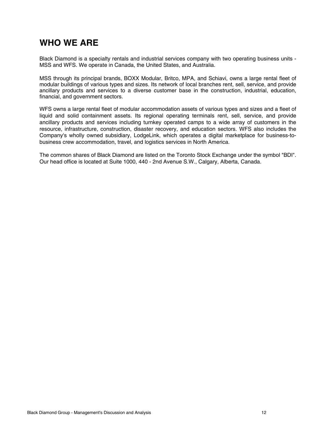## <span id="page-11-0"></span>**WHO WE ARE**

Black Diamond is a specialty rentals and industrial services company with two operating business units - MSS and WFS. We operate in Canada, the United States, and Australia.

MSS through its principal brands, BOXX Modular, Britco, MPA, and Schiavi, owns a large rental fleet of modular buildings of various types and sizes. Its network of local branches rent, sell, service, and provide ancillary products and services to a diverse customer base in the construction, industrial, education, financial, and government sectors.

WFS owns a large rental fleet of modular accommodation assets of various types and sizes and a fleet of liquid and solid containment assets. Its regional operating terminals rent, sell, service, and provide ancillary products and services including turnkey operated camps to a wide array of customers in the resource, infrastructure, construction, disaster recovery, and education sectors. WFS also includes the Company's wholly owned subsidiary, LodgeLink, which operates a digital marketplace for business-tobusiness crew accommodation, travel, and logistics services in North America.

The common shares of Black Diamond are listed on the Toronto Stock Exchange under the symbol "BDI". Our head office is located at Suite 1000, 440 - 2nd Avenue S.W., Calgary, Alberta, Canada.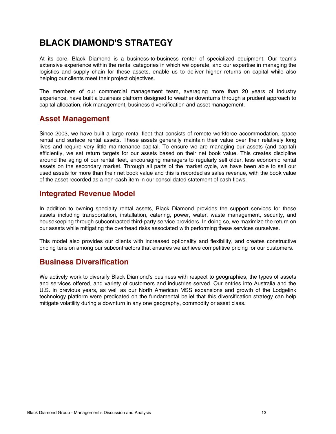## <span id="page-12-0"></span>**BLACK DIAMOND'S STRATEGY**

At its core, Black Diamond is a business-to-business renter of specialized equipment. Our team's extensive experience within the rental categories in which we operate, and our expertise in managing the logistics and supply chain for these assets, enable us to deliver higher returns on capital while also helping our clients meet their project objectives.

The members of our commercial management team, averaging more than 20 years of industry experience, have built a business platform designed to weather downturns through a prudent approach to capital allocation, risk management, business diversification and asset management.

#### **Asset Management**

Since 2003, we have built a large rental fleet that consists of remote workforce accommodation, space rental and surface rental assets. These assets generally maintain their value over their relatively long lives and require very little maintenance capital. To ensure we are managing our assets (and capital) efficiently, we set return targets for our assets based on their net book value. This creates discipline around the aging of our rental fleet, encouraging managers to regularly sell older, less economic rental assets on the secondary market. Through all parts of the market cycle, we have been able to sell our used assets for more than their net book value and this is recorded as sales revenue, with the book value of the asset recorded as a non-cash item in our consolidated statement of cash flows.

#### **Integrated Revenue Model**

In addition to owning specialty rental assets, Black Diamond provides the support services for these assets including transportation, installation, catering, power, water, waste management, security, and housekeeping through subcontracted third-party service providers. In doing so, we maximize the return on our assets while mitigating the overhead risks associated with performing these services ourselves.

This model also provides our clients with increased optionality and flexibility, and creates constructive pricing tension among our subcontractors that ensures we achieve competitive pricing for our customers.

### **Business Diversification**

We actively work to diversify Black Diamond's business with respect to geographies, the types of assets and services offered, and variety of customers and industries served. Our entries into Australia and the U.S. in previous years, as well as our North American MSS expansions and growth of the Lodgelink technology platform were predicated on the fundamental belief that this diversification strategy can help mitigate volatility during a downturn in any one geography, commodity or asset class.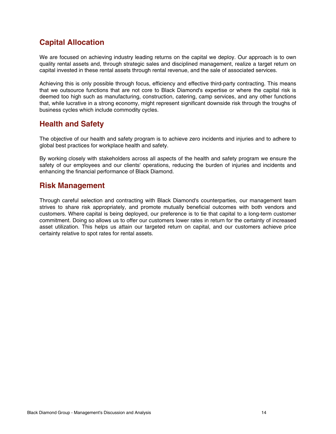## **Capital Allocation**

We are focused on achieving industry leading returns on the capital we deploy. Our approach is to own quality rental assets and, through strategic sales and disciplined management, realize a target return on capital invested in these rental assets through rental revenue, and the sale of associated services.

Achieving this is only possible through focus, efficiency and effective third-party contracting. This means that we outsource functions that are not core to Black Diamond's expertise or where the capital risk is deemed too high such as manufacturing, construction, catering, camp services, and any other functions that, while lucrative in a strong economy, might represent significant downside risk through the troughs of business cycles which include commodity cycles.

## **Health and Safety**

The objective of our health and safety program is to achieve zero incidents and injuries and to adhere to global best practices for workplace health and safety.

By working closely with stakeholders across all aspects of the health and safety program we ensure the safety of our employees and our clients' operations, reducing the burden of injuries and incidents and enhancing the financial performance of Black Diamond.

#### **Risk Management**

Through careful selection and contracting with Black Diamond's counterparties, our management team strives to share risk appropriately, and promote mutually beneficial outcomes with both vendors and customers. Where capital is being deployed, our preference is to tie that capital to a long-term customer commitment. Doing so allows us to offer our customers lower rates in return for the certainty of increased asset utilization. This helps us attain our targeted return on capital, and our customers achieve price certainty relative to spot rates for rental assets.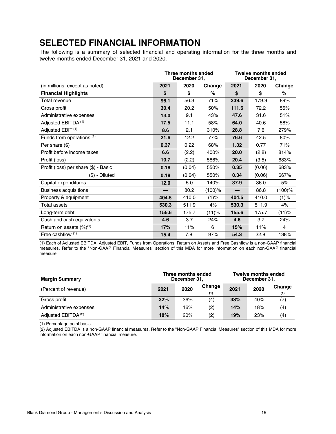## <span id="page-14-0"></span>**SELECTED FINANCIAL INFORMATION**

The following is a summary of selected financial and operating information for the three months and twelve months ended December 31, 2021 and 2020.

|                                      |       | Three months ended<br>December 31, |           |       | <b>Twelve months ended</b><br>December 31, |           |  |
|--------------------------------------|-------|------------------------------------|-----------|-------|--------------------------------------------|-----------|--|
| (in millions, except as noted)       | 2021  | 2020                               | Change    | 2021  | 2020                                       | Change    |  |
| <b>Financial Highlights</b>          | \$    | \$                                 | %         | \$    | \$                                         | $\%$      |  |
| Total revenue                        | 96.1  | 56.3                               | 71%       | 339.6 | 179.9                                      | 89%       |  |
| Gross profit                         | 30.4  | 20.2                               | 50%       | 111.6 | 72.2                                       | 55%       |  |
| Administrative expenses              | 13.0  | 9.1                                | 43%       | 47.6  | 31.6                                       | 51%       |  |
| Adjusted EBITDA <sup>(1)</sup>       | 17.5  | 11.1                               | 58%       | 64.0  | 40.6                                       | 58%       |  |
| Adjusted EBIT <sup>(1)</sup>         | 8.6   | 2.1                                | 310%      | 28.8  | 7.6                                        | 279%      |  |
| Funds from operations (1)            | 21.6  | 12.2                               | 77%       | 76.6  | 42.5                                       | 80%       |  |
| Per share (\$)                       | 0.37  | 0.22                               | 68%       | 1.32  | 0.77                                       | 71%       |  |
| Profit before income taxes           | 6.6   | (2.2)                              | 400%      | 20.0  | (2.8)                                      | 814%      |  |
| Profit (loss)                        | 10.7  | (2.2)                              | 586%      | 20.4  | (3.5)                                      | 683%      |  |
| Profit (loss) per share (\$) - Basic | 0.18  | (0.04)                             | 550%      | 0.35  | (0.06)                                     | 683%      |  |
| $(\$)$ - Diluted                     | 0.18  | (0.04)                             | 550%      | 0.34  | (0.06)                                     | 667%      |  |
| Capital expenditures                 | 12.0  | 5.0                                | 140%      | 37.9  | 36.0                                       | 5%        |  |
| <b>Business acquisitions</b>         |       | 80.2                               | $(100)$ % |       | 86.8                                       | $(100)$ % |  |
| Property & equipment                 | 404.5 | 410.0                              | (1)%      | 404.5 | 410.0                                      | (1)%      |  |
| Total assets                         | 530.3 | 511.9                              | 4%        | 530.3 | 511.9                                      | 4%        |  |
| Long-term debt                       | 155.6 | 175.7                              | (11)%     | 155.6 | 175.7                                      | (11)%     |  |
| Cash and cash equivalents            | 4.6   | 3.7                                | 24%       | 4.6   | 3.7                                        | 24%       |  |
| Return on assets $(\%)^{(1)}$        | 17%   | 11%                                | 6         | 15%   | 11%                                        | 4         |  |
| Free cashflow $(1)$                  | 15.4  | 7.8                                | 97%       | 54.3  | 22.8                                       | 138%      |  |

(1) Each of Adjusted EBITDA, Adjusted EBIT, Funds from Operations, Return on Assets and Free Cashflow is a non-GAAP financial measures. Refer to the "Non-GAAP Financial Measures" section of this MDA for more information on each non-GAAP financial measure.

| <b>Margin Summary</b>          | <b>Twelve months ended</b><br>Three months ended<br>December 31,<br>December 31, |      |               |      |      |               |
|--------------------------------|----------------------------------------------------------------------------------|------|---------------|------|------|---------------|
| (Percent of revenue)           | 2021                                                                             | 2020 | Change<br>(1) | 2021 | 2020 | Change<br>(1) |
| Gross profit                   | 32%                                                                              | 36%  | (4)           | 33%  | 40%  | (7)           |
| Administrative expenses        | 14%                                                                              | 16%  | (2)           | 14%  | 18%  | (4)           |
| Adjusted EBITDA <sup>(2)</sup> | 18%                                                                              | 20%  | (2)           | 19%  | 23%  | (4)           |

(1) Percentage point basis.

(2) Adjusted EBITDA is a non-GAAP financial measures. Refer to the "Non-GAAP Financial Measures" section of this MDA for more information on each non-GAAP financial measure.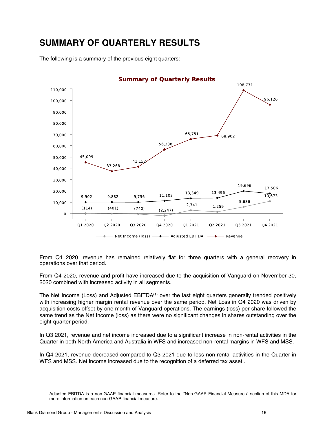## <span id="page-15-0"></span>**SUMMARY OF QUARTERLY RESULTS**

The following is a summary of the previous eight quarters:



From Q1 2020, revenue has remained relatively flat for three quarters with a general recovery in operations over that period.

From Q4 2020, revenue and profit have increased due to the acquisition of Vanguard on November 30, 2020 combined with increased activity in all segments.

The Net Income (Loss) and Adjusted EBITDA<sup>(1)</sup> over the last eight quarters generally trended positively with increasing higher margin rental revenue over the same period. Net Loss in Q4 2020 was driven by acquisition costs offset by one month of Vanguard operations. The earnings (loss) per share followed the same trend as the Net Income (loss) as there were no significant changes in shares outstanding over the eight-quarter period.

In Q3 2021, revenue and net income increased due to a significant increase in non-rental activities in the Quarter in both North America and Australia in WFS and increased non-rental margins in WFS and MSS.

In Q4 2021, revenue decreased compared to Q3 2021 due to less non-rental activities in the Quarter in WFS and MSS. Net income increased due to the recognition of a deferred tax asset .

Adjusted EBITDA is a non-GAAP financial measures. Refer to the "Non-GAAP Financial Measures" section of this MDA for more information on each non-GAAP financial measure.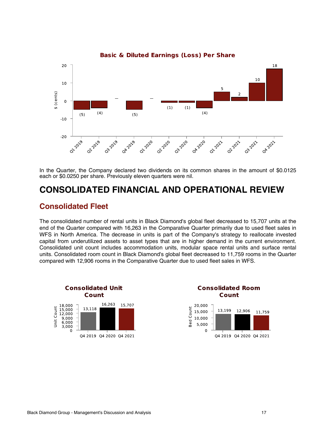<span id="page-16-0"></span>

**Basic & Diluted Earnings (Loss) Per Share** 

In the Quarter, the Company declared two dividends on its common shares in the amount of \$0.0125 each or \$0.0250 per share. Previously eleven quarters were nil.

## **CONSOLIDATED FINANCIAL AND OPERATIONAL REVIEW**

#### **Consolidated Fleet**

The consolidated number of rental units in Black Diamond's global fleet decreased to 15,707 units at the end of the Quarter compared with 16,263 in the Comparative Quarter primarily due to used fleet sales in WFS in North America. The decrease in units is part of the Company's strategy to reallocate invested capital from underutilized assets to asset types that are in higher demand in the current environment. Consolidated unit count includes accommodation units, modular space rental units and surface rental units. Consolidated room count in Black Diamond's global fleet decreased to 11,759 rooms in the Quarter compared with 12,906 rooms in the Comparative Quarter due to used fleet sales in WFS.



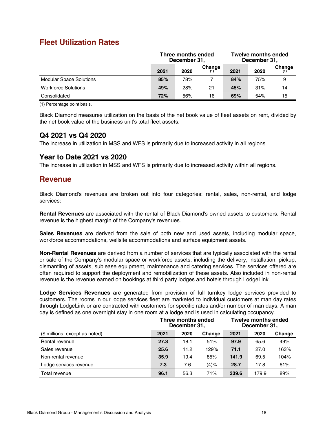### **Fleet Utilization Rates**

|                                | Three months ended<br>December 31, |      |        | <b>Twelve months ended</b><br>December 31, |      |        |
|--------------------------------|------------------------------------|------|--------|--------------------------------------------|------|--------|
|                                | 2021                               | 2020 | Change | 2021                                       | 2020 | Change |
| <b>Modular Space Solutions</b> | 85%                                | 78%  |        | 84%                                        | 75%  | 9      |
| <b>Workforce Solutions</b>     | 49%                                | 28%  | 21     | 45%                                        | 31%  | 14     |
| Consolidated                   | 72%                                | 56%  | 16     | 69%                                        | 54%  | 15     |

(1) Percentage point basis.

Black Diamond measures utilization on the basis of the net book value of fleet assets on rent, divided by the net book value of the business unit's total fleet assets.

#### **Q4 2021 vs Q4 2020**

The increase in utilization in MSS and WFS is primarily due to increased activity in all regions.

#### **Year to Date 2021 vs 2020**

The increase in utilization in MSS and WFS is primarily due to increased activity within all regions.

#### **Revenue**

Black Diamond's revenues are broken out into four categories: rental, sales, non-rental, and lodge services:

**Rental Revenues** are associated with the rental of Black Diamond's owned assets to customers. Rental revenue is the highest margin of the Company's revenues.

**Sales Revenues** are derived from the sale of both new and used assets, including modular space, workforce accommodations, wellsite accommodations and surface equipment assets.

**Non-Rental Revenues** are derived from a number of services that are typically associated with the rental or sale of the Company's modular space or workforce assets, including the delivery, installation, pickup, dismantling of assets, sublease equipment, maintenance and catering services. The services offered are often required to support the deployment and remobilization of these assets. Also included in non-rental revenue is the revenue earned on bookings at third party lodges and hotels through LodgeLink.

**Lodge Services Revenues** are generated from provision of full turnkey lodge services provided to customers. The rooms in our lodge services fleet are marketed to individual customers at man day rates through LodgeLink or are contracted with customers for specific rates and/or number of man days. A man day is defined as one overnight stay in one room at a lodge and is used in calculating occupancy.

|                                |      | Three months ended<br>December 31, |        |       | <b>Twelve months ended</b><br>December 31, |        |  |
|--------------------------------|------|------------------------------------|--------|-------|--------------------------------------------|--------|--|
| (\$ millions, except as noted) | 2021 | 2020                               | Change | 2021  | 2020                                       | Change |  |
| Rental revenue                 | 27.3 | 18.1                               | 51%    | 97.9  | 65.6                                       | 49%    |  |
| Sales revenue                  | 25.6 | 11.2                               | 129%   | 71.1  | 27.0                                       | 163%   |  |
| Non-rental revenue             | 35.9 | 19.4                               | 85%    | 141.9 | 69.5                                       | 104%   |  |
| Lodge services revenue         | 7.3  | 7.6                                | (4)%   | 28.7  | 17.8                                       | 61%    |  |
| Total revenue                  | 96.1 | 56.3                               | 71%    | 339.6 | 179.9                                      | 89%    |  |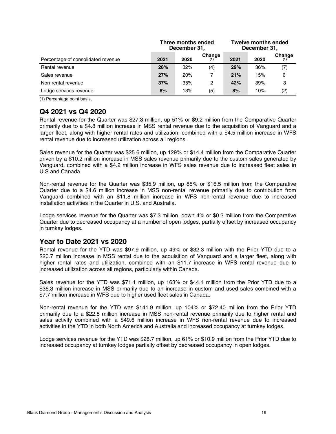|                                    | Three months ended<br>December 31, |      |        | <b>Twelve months ended</b><br>December 31, |      |        |
|------------------------------------|------------------------------------|------|--------|--------------------------------------------|------|--------|
| Percentage of consolidated revenue | 2021                               | 2020 | Change | 2021                                       | 2020 | Change |
| Rental revenue                     | 28%                                | 32%  | (4)    | 29%                                        | 36%  | (7)    |
| Sales revenue                      | 27%                                | 20%  |        | 21%                                        | 15%  | 6      |
| Non-rental revenue                 | 37%                                | 35%  | 2      | 42%                                        | 39%  | З      |
| Lodge services revenue             | 8%                                 | 13%  | (5)    | 8%                                         | 10%  | (2)    |

(1) Percentage point basis.

#### **Q4 2021 vs Q4 2020**

Rental revenue for the Quarter was \$27.3 million, up 51% or \$9.2 million from the Comparative Quarter primarily due to a \$4.8 million increase in MSS rental revenue due to the acquisition of Vanguard and a larger fleet, along with higher rental rates and utilization, combined with a \$4.5 million increase in WFS rental revenue due to increased utilization across all regions.

Sales revenue for the Quarter was \$25.6 million, up 129% or \$14.4 million from the Comparative Quarter driven by a \$10.2 million increase in MSS sales revenue primarily due to the custom sales generated by Vanguard, combined with a \$4.2 million increase in WFS sales revenue due to increased fleet sales in U.S and Canada.

Non-rental revenue for the Quarter was \$35.9 million, up 85% or \$16.5 million from the Comparative Quarter due to a \$4.6 million increase in MSS non-rental revenue primarily due to contribution from Vanguard combined with an \$11.8 million increase in WFS non-rental revenue due to increased installation activities in the Quarter in U.S. and Australia.

Lodge services revenue for the Quarter was \$7.3 million, down 4% or \$0.3 million from the Comparative Quarter due to decreased occupancy at a number of open lodges, partially offset by increased occupancy in turnkey lodges.

#### **Year to Date 2021 vs 2020**

Rental revenue for the YTD was \$97.9 million, up 49% or \$32.3 million with the Prior YTD due to a \$20.7 million increase in MSS rental due to the acquisition of Vanguard and a larger fleet, along with higher rental rates and utilization, combined with an \$11.7 increase in WFS rental revenue due to increased utilization across all regions, particularly within Canada.

Sales revenue for the YTD was \$71.1 million, up 163% or \$44.1 million from the Prior YTD due to a \$36.3 million increase in MSS primarily due to an increase in custom and used sales combined with a \$7.7 million increase in WFS due to higher used fleet sales in Canada.

Non-rental revenue for the YTD was \$141.9 million, up 104% or \$72.40 million from the Prior YTD primarily due to a \$22.8 million increase in MSS non-rental revenue primarily due to higher rental and sales activity combined with a \$49.6 million increase in WFS non-rental revenue due to increased activities in the YTD in both North America and Australia and increased occupancy at turnkey lodges.

Lodge services revenue for the YTD was \$28.7 million, up 61% or \$10.9 million from the Prior YTD due to increased occupancy at turnkey lodges partially offset by decreased occupancy in open lodges.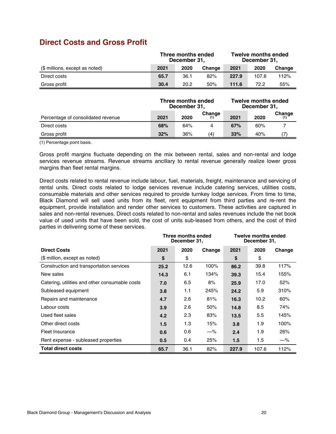## **Direct Costs and Gross Profit**

|                                    |      | Three months ended<br>December 31, |               |       | <b>Twelve months ended</b><br>December 31, |               |
|------------------------------------|------|------------------------------------|---------------|-------|--------------------------------------------|---------------|
| (\$ millions, except as noted)     | 2021 | 2020                               | Change        | 2021  | 2020                                       | Change        |
| Direct costs                       | 65.7 | 36.1                               | 82%           | 227.9 | 107.6                                      | 112%          |
| Gross profit                       | 30.4 | 20.2                               | 50%           | 111.6 | 72.2                                       | 55%           |
|                                    |      |                                    |               |       |                                            |               |
|                                    |      | Three months ended<br>December 31, |               |       | <b>Twelve months ended</b><br>December 31, |               |
| Percentage of consolidated revenue | 2021 | 2020                               | Change<br>(1) | 2021  | 2020                                       | Change<br>(1) |
| Direct costs                       | 68%  | 64%                                | 4             | 67%   | 60%                                        | 7             |

(1) Percentage point basis.

Gross profit margins fluctuate depending on the mix between rental, sales and non-rental and lodge services revenue streams. Revenue streams ancillary to rental revenue generally realize lower gross margins than fleet rental margins.

Direct costs related to rental revenue include labour, fuel, materials, freight, maintenance and servicing of rental units. Direct costs related to lodge services revenue include catering services, utilities costs, consumable materials and other services required to provide turnkey lodge services. From time to time, Black Diamond will sell used units from its fleet, rent equipment from third parties and re-rent the equipment, provide installation and render other services to customers. These activities are captured in sales and non-rental revenues. Direct costs related to non-rental and sales revenues include the net book value of used units that have been sold, the cost of units sub-leased from others, and the cost of third parties in delivering some of these services.

|                                                | Three months ended<br>December 31, |      |        | <b>Twelve months ended</b><br>December 31, |       |        |
|------------------------------------------------|------------------------------------|------|--------|--------------------------------------------|-------|--------|
| <b>Direct Costs</b>                            | 2021                               | 2020 | Change | 2021                                       | 2020  | Change |
| (\$ million, except as noted)                  | \$                                 | \$   |        | \$                                         | \$    |        |
| Construction and transportation services       | 25.2                               | 12.6 | 100%   | 86.2                                       | 39.8  | 117%   |
| New sales                                      | 14.3                               | 6.1  | 134%   | 39.3                                       | 15.4  | 155%   |
| Catering, utilities and other consumable costs | 7.0                                | 6.5  | 8%     | 25.9                                       | 17.0  | 52%    |
| Subleased equipment                            | 3.8                                | 1.1  | 245%   | 24.2                                       | 5.9   | 310%   |
| Repairs and maintenance                        | 4.7                                | 2.6  | 81%    | 16.3                                       | 10.2  | 60%    |
| Labour costs                                   | 3.9                                | 2.6  | 50%    | 14.8                                       | 8.5   | 74%    |
| Used fleet sales                               | 4.2                                | 2.3  | 83%    | 13.5                                       | 5.5   | 145%   |
| Other direct costs                             | 1.5                                | 1.3  | 15%    | 3.8                                        | 1.9   | 100%   |
| Fleet Insurance                                | 0.6                                | 0.6  | $-\%$  | 2.4                                        | 1.9   | 26%    |
| Rent expense - subleased properties            | 0.5                                | 0.4  | 25%    | 1.5                                        | 1.5   | $-\%$  |
| <b>Total direct costs</b>                      | 65.7                               | 36.1 | 82%    | 227.9                                      | 107.6 | 112%   |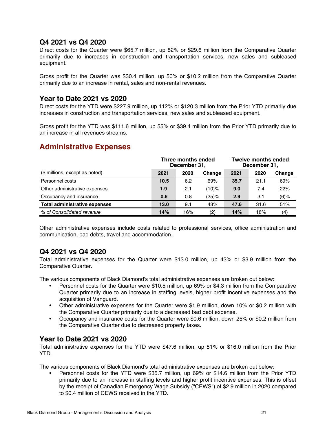#### **Q4 2021 vs Q4 2020**

Direct costs for the Quarter were \$65.7 million, up 82% or \$29.6 million from the Comparative Quarter primarily due to increases in construction and transportation services, new sales and subleased equipment.

Gross profit for the Quarter was \$30.4 million, up 50% or \$10.2 million from the Comparative Quarter primarily due to an increase in rental, sales and non-rental revenues.

#### **Year to Date 2021 vs 2020**

Direct costs for the YTD were \$227.9 million, up 112% or \$120.3 million from the Prior YTD primarily due increases in construction and transportation services, new sales and subleased equipment.

Gross profit for the YTD was \$111.6 million, up 55% or \$39.4 million from the Prior YTD primarily due to an increase in all revenues streams.

### **Administrative Expenses**

|                                      |      | Three months ended<br>December 31, |          | <b>Twelve months ended</b><br>December 31, |      |         |
|--------------------------------------|------|------------------------------------|----------|--------------------------------------------|------|---------|
| (\$ millions, except as noted)       | 2021 | 2020                               | Change   | 2021                                       | 2020 | Change  |
| Personnel costs                      | 10.5 | 6.2                                | 69%      | 35.7                                       | 21.1 | 69%     |
| Other administrative expenses        | 1.9  | 2.1                                | (10)%    | 9.0                                        | 7.4  | 22%     |
| Occupancy and insurance              | 0.6  | 0.8                                | $(25)\%$ | 2.9                                        | 3.1  | $(6)$ % |
| <b>Total administrative expenses</b> | 13.0 | 9.1                                | 43%      | 47.6                                       | 31.6 | 51%     |
| % of Consolidated revenue            | 14%  | 16%                                | (2)      | 14%                                        | 18%  | (4)     |

Other administrative expenses include costs related to professional services, office administration and communication, bad debts, travel and accommodation.

#### **Q4 2021 vs Q4 2020**

Total administrative expenses for the Quarter were \$13.0 million, up 43% or \$3.9 million from the Comparative Quarter.

The various components of Black Diamond's total administrative expenses are broken out below:

- Personnel costs for the Quarter were \$10.5 million, up 69% or \$4.3 million from the Comparative Quarter primarily due to an increase in staffing levels, higher profit incentive expenses and the acquisition of Vanguard.
- Other administrative expenses for the Quarter were \$1.9 million, down 10% or \$0.2 million with the Comparative Quarter primarily due to a decreased bad debt expense.
- Occupancy and insurance costs for the Quarter were \$0.6 million, down 25% or \$0.2 million from the Comparative Quarter due to decreased property taxes.

#### **Year to Date 2021 vs 2020**

Total administrative expenses for the YTD were \$47.6 million, up 51% or \$16.0 million from the Prior YTD.

The various components of Black Diamond's total administrative expenses are broken out below:

• Personnel costs for the YTD were \$35.7 million, up 69% or \$14.6 million from the Prior YTD primarily due to an increase in staffing levels and higher profit incentive expenses. This is offset by the receipt of Canadian Emergency Wage Subsidy ("CEWS") of \$2.9 million in 2020 compared to \$0.4 million of CEWS received in the YTD.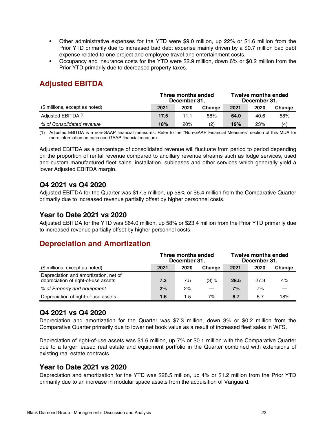- Other administrative expenses for the YTD were \$9.0 million, up 22% or \$1.6 million from the Prior YTD primarily due to increased bad debt expense mainly driven by a \$0.7 million bad debt expense related to one project and employee travel and entertainment costs.
- Occupancy and insurance costs for the YTD were \$2.9 million, down 6% or \$0.2 million from the Prior YTD primarily due to decreased property taxes.

## **Adjusted EBITDA**

|                                | Three months ended<br>December 31, |      |        | <b>Twelve months ended</b><br>December 31, |      |        |
|--------------------------------|------------------------------------|------|--------|--------------------------------------------|------|--------|
| (\$ millions, except as noted) | 2021                               | 2020 | Change | 2021                                       | 2020 | Change |
| Adjusted EBITDA (1)            | 17.5                               | 11.1 | 58%    | 64.0                                       | 40.6 | 58%    |
| % of Consolidated revenue      | 18%                                | 20%  | (2)    | 19%                                        | 23%  | (4)    |

(1) Adjusted EBITDA is a non-GAAP financial measures. Refer to the "Non-GAAP Financial Measures" section of this MDA for more information on each non-GAAP financial measure.

Adjusted EBITDA as a percentage of consolidated revenue will fluctuate from period to period depending on the proportion of rental revenue compared to ancillary revenue streams such as lodge services, used and custom manufactured fleet sales, installation, subleases and other services which generally yield a lower Adjusted EBITDA margin.

#### **Q4 2021 vs Q4 2020**

Adjusted EBITDA for the Quarter was \$17.5 million, up 58% or \$6.4 million from the Comparative Quarter primarily due to increased revenue partially offset by higher personnel costs.

#### **Year to Date 2021 vs 2020**

Adjusted EBITDA for the YTD was \$64.0 million, up 58% or \$23.4 million from the Prior YTD primarily due to increased revenue partially offset by higher personnel costs.

## **Depreciation and Amortization**

|                                                                              | Three months ended<br>December 31, |      |        | <b>Twelve months ended</b><br>December 31, |      |        |
|------------------------------------------------------------------------------|------------------------------------|------|--------|--------------------------------------------|------|--------|
| (\$ millions, except as noted)                                               | 2021                               | 2020 | Change | 2021                                       | 2020 | Change |
| Depreciation and amortization, net of<br>depreciation of right-of-use assets | 7.3                                | 7.5  | (3)%   | 28.5                                       | 27.3 | 4%     |
| % of Property and equipment                                                  | 2%                                 | 2%   |        | 7%                                         | 7%   |        |
| Depreciation of right-of-use assets                                          | 1.6                                | 1.5  | 7%     | 6.7                                        | 5.7  | 18%    |

#### **Q4 2021 vs Q4 2020**

Depreciation and amortization for the Quarter was \$7.3 million, down 3% or \$0.2 million from the Comparative Quarter primarily due to lower net book value as a result of increased fleet sales in WFS.

Depreciation of right-of-use assets was \$1.6 million, up 7% or \$0.1 million with the Comparative Quarter due to a larger leased real estate and equipment portfolio in the Quarter combined with extensions of existing real estate contracts.

#### **Year to Date 2021 vs 2020**

Depreciation and amortization for the YTD was \$28.5 million, up 4% or \$1.2 million from the Prior YTD primarily due to an increase in modular space assets from the acquisition of Vanguard.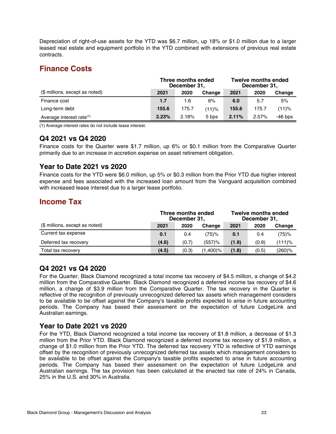Depreciation of right-of-use assets for the YTD was \$6.7 million, up 18% or \$1.0 million due to a larger leased real estate and equipment portfolio in the YTD combined with extensions of previous real estate contracts.

## **Finance Costs**

|                                      | Three months ended<br>December 31, |       |        | <b>Twelve months ended</b><br>December 31, |       |           |  |
|--------------------------------------|------------------------------------|-------|--------|--------------------------------------------|-------|-----------|--|
| (\$ millions, except as noted)       | 2021                               | 2020  | Change | 2021                                       | 2020  | Change    |  |
| Finance cost                         | 1.7                                | 1.6   | 6%     | 6.0                                        | 5.7   | 5%        |  |
| Long-term debt                       | 155.6                              | 175.7 | (11)%  | 155.6                                      | 175.7 | (11)%     |  |
| Average interest rate <sup>(1)</sup> | 2.23%                              | 2.18% | 5 bps  | 2.11%                                      | 2.57% | $-46$ bps |  |

(1) Average interest rates do not include lease interest.

#### **Q4 2021 vs Q4 2020**

Finance costs for the Quarter were \$1.7 million, up 6% or \$0.1 million from the Comparative Quarter primarily due to an increase in accretion expense on asset retirement obligation.

#### **Year to Date 2021 vs 2020**

Finance costs for the YTD were \$6.0 million, up 5% or \$0.3 million from the Prior YTD due higher interest expense and fees associated with the increased loan amount from the Vanguard acquisition combined with increased lease interest due to a larger lease portfolio.

#### **Income Tax**

|                                | Three months ended<br>December 31, |       |           | <b>Twelve months ended</b><br>December 31, |       |           |
|--------------------------------|------------------------------------|-------|-----------|--------------------------------------------|-------|-----------|
| (\$ millions, except as noted) | 2021                               | 2020  | Change    | 2021                                       | 2020  | Change    |
| Current tax expense            | 0.1                                | 0.4   | (75)%     | 0.1                                        | 0.4   | (75)%     |
| Deferred tax recovery          | (4.6)                              | (0.7) | $(557)$ % | (1.9)                                      | (0.9) | (111)%    |
| Total tax recovery             | (4.5)                              | (0.3) | (1,400)%  | (1.8)                                      | (0.5) | $(260)$ % |

#### **Q4 2021 vs Q4 2020**

For the Quarter, Black Diamond recognized a total income tax recovery of \$4.5 million, a change of \$4.2 million from the Comparative Quarter. Black Diamond recognized a deferred income tax recovery of \$4.6 million, a change of \$3.9 million from the Comparative Quarter. The tax recovery in the Quarter is reflective of the recognition of previously unrecognized deferred tax assets which management considers to be available to be offset against the Company's taxable profits expected to arise in future accounting periods. The Company has based their assessment on the expectation of future LodgeLink and Australian earnings.

#### **Year to Date 2021 vs 2020**

For the YTD, Black Diamond recognized a total income tax recovery of \$1.8 million, a decrease of \$1.3 million from the Prior YTD. Black Diamond recognized a deferred income tax recovery of \$1.9 million, a change of \$1.0 million from the Prior YTD. The deferred tax recovery YTD is reflective of YTD earnings offset by the recognition of previously unrecognized deferred tax assets which management considers to be available to be offset against the Company's taxable profits expected to arise in future accounting periods. The Company has based their assessment on the expectation of future LodgeLink and Australian earnings. The tax provision has been calculated at the enacted tax rate of 24% in Canada, 25% in the U.S. and 30% in Australia.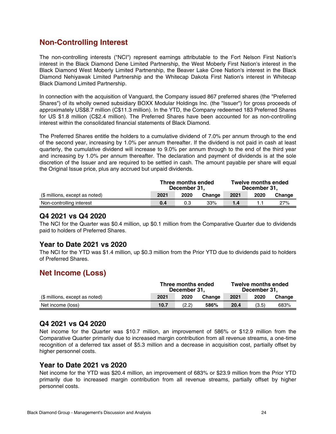### **Non-Controlling Interest**

The non-controlling interests ("NCI") represent earnings attributable to the Fort Nelson First Nation's interest in the Black Diamond Dene Limited Partnership, the West Moberly First Nation's interest in the Black Diamond West Moberly Limited Partnership, the Beaver Lake Cree Nation's interest in the Black Diamond Nehiyawak Limited Partnership and the Whitecap Dakota First Nation's interest in Whitecap Black Diamond Limited Partnership.

In connection with the acquisition of Vanguard, the Company issued 867 preferred shares (the "Preferred Shares") of its wholly owned subsidiary BOXX Modular Holdings Inc. (the "Issuer") for gross proceeds of approximately US\$8.7 million (C\$11.3 million). In the YTD, the Company redeemed 183 Preferred Shares for US \$1.8 million (C\$2.4 million). The Preferred Shares have been accounted for as non-controlling interest within the consolidated financial statements of Black Diamond.

The Preferred Shares entitle the holders to a cumulative dividend of 7.0% per annum through to the end of the second year, increasing by 1.0% per annum thereafter. If the dividend is not paid in cash at least quarterly, the cumulative dividend will increase to 9.0% per annum through to the end of the third year and increasing by 1.0% per annum thereafter. The declaration and payment of dividends is at the sole discretion of the Issuer and are required to be settled in cash. The amount payable per share will equal the Original Issue price, plus any accrued but unpaid dividends.

|                                | Three months ended<br>December 31. |      |        | <b>Twelve months ended</b><br>December 31. |      |        |
|--------------------------------|------------------------------------|------|--------|--------------------------------------------|------|--------|
| (\$ millions, except as noted) | 2021                               | 2020 | Change | 2021                                       | 2020 | Change |
| Non-controlling interest       | 0.4                                | 0.3  | 33%    | 1.4                                        |      | 27%    |

#### **Q4 2021 vs Q4 2020**

The NCI for the Quarter was \$0.4 million, up \$0.1 million from the Comparative Quarter due to dividends paid to holders of Preferred Shares.

#### **Year to Date 2021 vs 2020**

The NCI for the YTD was \$1.4 million, up \$0.3 million from the Prior YTD due to dividends paid to holders of Preferred Shares.

#### **Net Income (Loss)**

|                                | Three months ended<br>December 31. |       |        | <b>Twelve months ended</b><br>December 31. |       |        |
|--------------------------------|------------------------------------|-------|--------|--------------------------------------------|-------|--------|
| (\$ millions, except as noted) | 2021                               | 2020  | Change | 2021                                       | 2020  | Change |
| Net income (loss)              | 10.7                               | (2.2) | 586%   | 20.4                                       | (3.5) | 683%   |

#### **Q4 2021 vs Q4 2020**

Net income for the Quarter was \$10.7 million, an improvement of 586% or \$12.9 million from the Comparative Quarter primarily due to increased margin contribution from all revenue streams, a one-time recognition of a deferred tax asset of \$5.3 million and a decrease in acquisition cost, partially offset by higher personnel costs.

#### **Year to Date 2021 vs 2020**

Net income for the YTD was \$20.4 million, an improvement of 683% or \$23.9 million from the Prior YTD primarily due to increased margin contribution from all revenue streams, partially offset by higher personnel costs.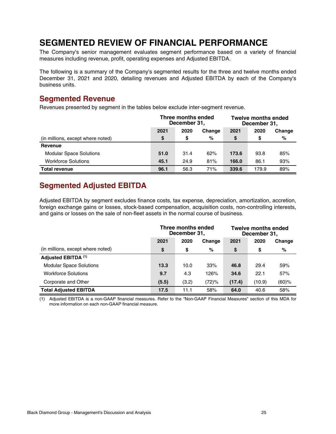## <span id="page-24-0"></span>**SEGMENTED REVIEW OF FINANCIAL PERFORMANCE**

The Company's senior management evaluates segment performance based on a variety of financial measures including revenue, profit, operating expenses and Adjusted EBITDA.

The following is a summary of the Company's segmented results for the three and twelve months ended December 31, 2021 and 2020, detailing revenues and Adjusted EBITDA by each of the Company's business units.

#### **Segmented Revenue**

Revenues presented by segment in the tables below exclude inter-segment revenue.

|                                   | Three months ended<br>December 31, |      |        | <b>Twelve months ended</b><br>December 31, |       |        |
|-----------------------------------|------------------------------------|------|--------|--------------------------------------------|-------|--------|
|                                   | 2021                               | 2020 | Change | 2021                                       | 2020  | Change |
| (in millions, except where noted) | \$                                 | S.   | %      | \$                                         | S     | %      |
| Revenue                           |                                    |      |        |                                            |       |        |
| <b>Modular Space Solutions</b>    | 51.0                               | 31.4 | 62%    | 173.6                                      | 93.8  | 85%    |
| <b>Workforce Solutions</b>        | 45.1                               | 24.9 | 81%    | 166.0                                      | 86.1  | 93%    |
| <b>Total revenue</b>              | 96.1                               | 56.3 | 71%    | 339.6                                      | 179.9 | 89%    |

## **Segmented Adjusted EBITDA**

Adjusted EBITDA by segment excludes finance costs, tax expense, depreciation, amortization, accretion, foreign exchange gains or losses, stock-based compensation, acquisition costs, non-controlling interests, and gains or losses on the sale of non-fleet assets in the normal course of business.

|                                   | Three months ended<br>December 31, |       |        | <b>Twelve months ended</b><br>December 31, |        |        |
|-----------------------------------|------------------------------------|-------|--------|--------------------------------------------|--------|--------|
|                                   | 2021                               | 2020  | Change | 2021                                       | 2020   | Change |
| (in millions, except where noted) | \$                                 | \$    | %      | \$                                         | \$     | %      |
| Adjusted EBITDA (1)               |                                    |       |        |                                            |        |        |
| <b>Modular Space Solutions</b>    | 13.3                               | 10.0  | 33%    | 46.8                                       | 29.4   | 59%    |
| <b>Workforce Solutions</b>        | 9.7                                | 4.3   | 126%   | 34.6                                       | 22.1   | 57%    |
| Corporate and Other               | (5.5)                              | (3.2) | (72)%  | (17.4)                                     | (10.9) | (60)%  |
| <b>Total Adiusted EBITDA</b>      | 17.5                               | 11.1  | 58%    | 64.0                                       | 40.6   | 58%    |

(1) Adjusted EBITDA is a non-GAAP financial measures. Refer to the "Non-GAAP Financial Measures" section of this MDA for more information on each non-GAAP financial measure.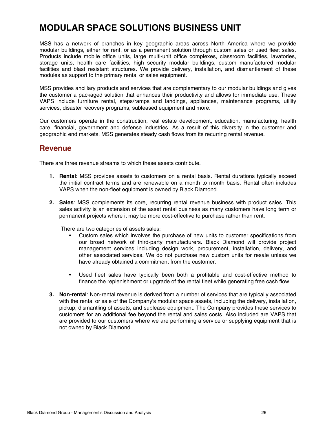## <span id="page-25-0"></span>**MODULAR SPACE SOLUTIONS BUSINESS UNIT**

MSS has a network of branches in key geographic areas across North America where we provide modular buildings, either for rent, or as a permanent solution through custom sales or used fleet sales. Products include mobile office units, large multi-unit office complexes, classroom facilities, lavatories, storage units, health care facilities, high security modular buildings, custom manufactured modular facilities and blast resistant structures. We provide delivery, installation, and dismantlement of these modules as support to the primary rental or sales equipment.

MSS provides ancillary products and services that are complementary to our modular buildings and gives the customer a packaged solution that enhances their productivity and allows for immediate use. These VAPS include furniture rental, steps/ramps and landings, appliances, maintenance programs, utility services, disaster recovery programs, subleased equipment and more.

Our customers operate in the construction, real estate development, education, manufacturing, health care, financial, government and defense industries. As a result of this diversity in the customer and geographic end markets, MSS generates steady cash flows from its recurring rental revenue.

#### **Revenue**

There are three revenue streams to which these assets contribute.

- **1. Rental**: MSS provides assets to customers on a rental basis. Rental durations typically exceed the initial contract terms and are renewable on a month to month basis. Rental often includes VAPS when the non-fleet equipment is owned by Black Diamond.
- **2. Sales**: MSS complements its core, recurring rental revenue business with product sales. This sales activity is an extension of the asset rental business as many customers have long term or permanent projects where it may be more cost-effective to purchase rather than rent.

There are two categories of assets sales:

- Custom sales which involves the purchase of new units to customer specifications from our broad network of third-party manufacturers. Black Diamond will provide project management services including design work, procurement, installation, delivery, and other associated services. We do not purchase new custom units for resale unless we have already obtained a commitment from the customer.
- Used fleet sales have typically been both a profitable and cost-effective method to finance the replenishment or upgrade of the rental fleet while generating free cash flow.
- **3. Non-rental**: Non-rental revenue is derived from a number of services that are typically associated with the rental or sale of the Company's modular space assets, including the delivery, installation, pickup, dismantling of assets, and sublease equipment. The Company provides these services to customers for an additional fee beyond the rental and sales costs. Also included are VAPS that are provided to our customers where we are performing a service or supplying equipment that is not owned by Black Diamond.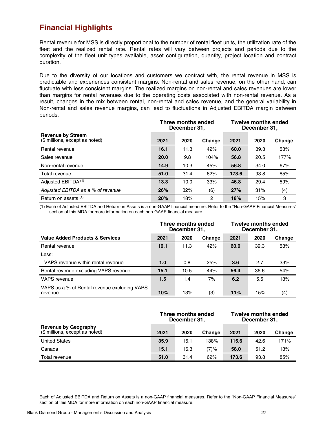## **Financial Highlights**

Rental revenue for MSS is directly proportional to the number of rental fleet units, the utilization rate of the fleet and the realized rental rate. Rental rates will vary between projects and periods due to the complexity of the fleet unit types available, asset configuration, quantity, project location and contract duration.

Due to the diversity of our locations and customers we contract with, the rental revenue in MSS is predictable and experiences consistent margins. Non-rental and sales revenue, on the other hand, can fluctuate with less consistent margins. The realized margins on non-rental and sales revenues are lower than margins for rental revenues due to the operating costs associated with non-rental revenue. As a result, changes in the mix between rental, non-rental and sales revenue, and the general variability in Non-rental and sales revenue margins, can lead to fluctuations in Adjusted EBITDA margin between periods.

|                                                            | Three months ended<br>December 31, |      |        | <b>Twelve months ended</b><br>December 31, |      |        |
|------------------------------------------------------------|------------------------------------|------|--------|--------------------------------------------|------|--------|
| <b>Revenue by Stream</b><br>(\$ millions, except as noted) | 2021                               | 2020 | Change | 2021                                       | 2020 | Change |
| Rental revenue                                             | 16.1                               | 11.3 | 42%    | 60.0                                       | 39.3 | 53%    |
| Sales revenue                                              | 20.0                               | 9.8  | 104%   | 56.8                                       | 20.5 | 177%   |
| Non-rental revenue                                         | 14.9                               | 10.3 | 45%    | 56.8                                       | 34.0 | 67%    |
| Total revenue                                              | 51.0                               | 31.4 | 62%    | 173.6                                      | 93.8 | 85%    |
| Adjusted EBITDA <sup>(1)</sup>                             | 13.3                               | 10.0 | 33%    | 46.8                                       | 29.4 | 59%    |
| Adjusted EBITDA as a % of revenue                          | 26%                                | 32%  | (6)    | 27%                                        | 31%  | (4)    |
| Return on assets (1)                                       | 20%                                | 18%  | 2      | 18%                                        | 15%  | 3      |

(1) Each of Adjusted EBITDA and Return on Assets is a non-GAAP financial measure. Refer to the "Non-GAAP Financial Measures" section of this MDA for more information on each non-GAAP financial measure.

|                                                         | Three months ended<br>December 31, |      |        | <b>Twelve months ended</b><br>December 31, |      |        |
|---------------------------------------------------------|------------------------------------|------|--------|--------------------------------------------|------|--------|
| <b>Value Added Products &amp; Services</b>              | 2021                               | 2020 | Change | 2021                                       | 2020 | Change |
| Rental revenue                                          | 16.1                               | 11.3 | 42%    | 60.0                                       | 39.3 | 53%    |
| Less:                                                   |                                    |      |        |                                            |      |        |
| VAPS revenue within rental revenue                      | 1.0                                | 0.8  | 25%    | 3.6                                        | 2.7  | 33%    |
| Rental revenue excluding VAPS revenue                   | 15.1                               | 10.5 | 44%    | 56.4                                       | 36.6 | 54%    |
| <b>VAPS</b> revenue                                     | 1.5                                | 1.4  | 7%     | 6.2                                        | 5.5  | 13%    |
| VAPS as a % of Rental revenue excluding VAPS<br>revenue | 10%                                | 13%  | (3)    | 11%                                        | 15%  | (4)    |

|                                                               | Three months ended<br>December 31, |      |        | <b>Twelve months ended</b><br>December 31, |      |        |
|---------------------------------------------------------------|------------------------------------|------|--------|--------------------------------------------|------|--------|
| <b>Revenue by Geography</b><br>(\$ millions, except as noted) | 2021                               | 2020 | Change | 2021                                       | 2020 | Change |
| <b>United States</b>                                          | 35.9                               | 15.1 | 138%   | 115.6                                      | 42.6 | 171%   |
| Canada                                                        | 15.1                               | 16.3 | (7)%   | 58.0                                       | 51.2 | 13%    |
| Total revenue                                                 | 51.0                               | 31.4 | 62%    | 173.6                                      | 93.8 | 85%    |

Each of Adjusted EBITDA and Return on Assets is a non-GAAP financial measures. Refer to the "Non-GAAP Financial Measures" section of this MDA for more information on each non-GAAP financial measure.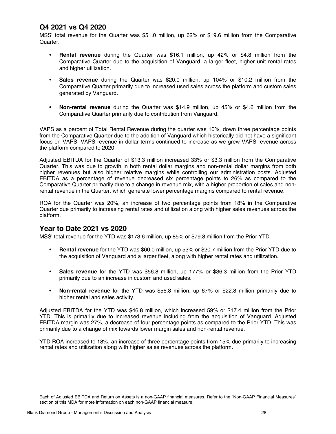#### **Q4 2021 vs Q4 2020**

MSS' total revenue for the Quarter was \$51.0 million, up 62% or \$19.6 million from the Comparative Quarter.

- **Rental revenue** during the Quarter was \$16.1 million, up 42% or \$4.8 million from the Comparative Quarter due to the acquisition of Vanguard, a larger fleet, higher unit rental rates and higher utilization.
- **Sales revenue** during the Quarter was \$20.0 million, up 104% or \$10.2 million from the Comparative Quarter primarily due to increased used sales across the platform and custom sales generated by Vanguard.
- **• Non-rental revenue** during the Quarter was \$14.9 million, up 45% or \$4.6 million from the Comparative Quarter primarily due to contribution from Vanguard.

VAPS as a percent of Total Rental Revenue during the quarter was 10%, down three percentage points from the Comparative Quarter due to the addition of Vanguard which historically did not have a significant focus on VAPS. VAPS revenue in dollar terms continued to increase as we grew VAPS revenue across the platform compared to 2020.

Adjusted EBITDA for the Quarter of \$13.3 million increased 33% or \$3.3 million from the Comparative Quarter. This was due to growth in both rental dollar margins and non-rental dollar margins from both higher revenues but also higher relative margins while controlling our administration costs. Adjusted EBITDA as a percentage of revenue decreased six percentage points to 26% as compared to the Comparative Quarter primarily due to a change in revenue mix, with a higher proportion of sales and nonrental revenue in the Quarter, which generate lower percentage margins compared to rental revenue.

ROA for the Quarter was 20%, an increase of two percentage points from 18% in the Comparative Quarter due primarily to increasing rental rates and utilization along with higher sales revenues across the platform.

#### **Year to Date 2021 vs 2020**

MSS' total revenue for the YTD was \$173.6 million, up 85% or \$79.8 million from the Prior YTD.

- **Rental revenue** for the YTD was \$60.0 million, up 53% or \$20.7 million from the Prior YTD due to the acquisition of Vanguard and a larger fleet, along with higher rental rates and utilization.
- **Sales revenue** for the YTD was \$56.8 million, up 177% or \$36.3 million from the Prior YTD primarily due to an increase in custom and used sales.
- **• Non-rental revenue** for the YTD was \$56.8 million, up 67% or \$22.8 million primarily due to higher rental and sales activity.

Adjusted EBITDA for the YTD was \$46.8 million, which increased 59% or \$17.4 million from the Prior YTD. This is primarily due to increased revenue including from the acquisition of Vanguard. Adjusted EBITDA margin was 27%, a decrease of four percentage points as compared to the Prior YTD. This was primarily due to a change of mix towards lower margin sales and non-rental revenue.

YTD ROA increased to 18%, an increase of three percentage points from 15% due primarily to increasing rental rates and utilization along with higher sales revenues across the platform.

Each of Adjusted EBITDA and Return on Assets is a non-GAAP financial measures. Refer to the "Non-GAAP Financial Measures" section of this MDA for more information on each non-GAAP financial measure.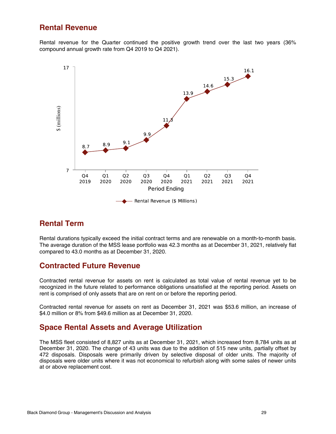#### **Rental Revenue**

Rental revenue for the Quarter continued the positive growth trend over the last two years (36% compound annual growth rate from Q4 2019 to Q4 2021).



### **Rental Term**

Rental durations typically exceed the initial contract terms and are renewable on a month-to-month basis. The average duration of the MSS lease portfolio was 42.3 months as at December 31, 2021, relatively flat compared to 43.0 months as at December 31, 2020.

#### **Contracted Future Revenue**

Contracted rental revenue for assets on rent is calculated as total value of rental revenue yet to be recognized in the future related to performance obligations unsatisfied at the reporting period. Assets on rent is comprised of only assets that are on rent on or before the reporting period.

Contracted rental revenue for assets on rent as December 31, 2021 was \$53.6 million, an increase of \$4.0 million or 8% from \$49.6 million as at December 31, 2020.

### **Space Rental Assets and Average Utilization**

The MSS fleet consisted of 8,827 units as at December 31, 2021, which increased from 8,784 units as at December 31, 2020. The change of 43 units was due to the addition of 515 new units, partially offset by 472 disposals. Disposals were primarily driven by selective disposal of older units. The majority of disposals were older units where it was not economical to refurbish along with some sales of newer units at or above replacement cost.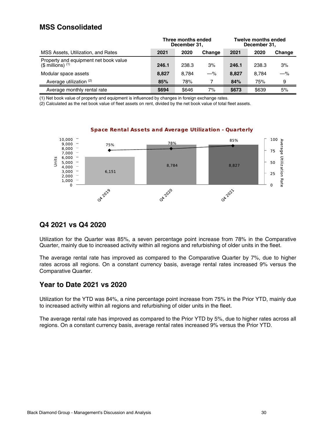#### **MSS Consolidated**

|                                                               | Three months ended<br>December 31, |       |        | <b>Twelve months ended</b><br>December 31, |       |        |
|---------------------------------------------------------------|------------------------------------|-------|--------|--------------------------------------------|-------|--------|
| MSS Assets, Utilization, and Rates                            | 2021                               | 2020  | Change | 2021                                       | 2020  | Change |
| Property and equipment net book value<br>$(S$ millions) $(1)$ | 246.1                              | 238.3 | 3%     | 246.1                                      | 238.3 | 3%     |
| Modular space assets                                          | 8,827                              | 8.784 | $-\%$  | 8,827                                      | 8.784 | $-\%$  |
| Average utilization (2)                                       | 85%                                | 78%   |        | 84%                                        | 75%   | 9      |
| Average monthly rental rate                                   | \$694                              | \$646 | 7%     | \$673                                      | \$639 | 5%     |

(1) Net book value of property and equipment is influenced by changes in foreign exchange rates.

(2) Calculated as the net book value of fleet assets on rent, divided by the net book value of total fleet assets.



#### **Space Rental Assets and Average Utilization - Quarterly**

#### **Q4 2021 vs Q4 2020**

Utilization for the Quarter was 85%, a seven percentage point increase from 78% in the Comparative Quarter, mainly due to increased activity within all regions and refurbishing of older units in the fleet.

The average rental rate has improved as compared to the Comparative Quarter by 7%, due to higher rates across all regions. On a constant currency basis, average rental rates increased 9% versus the Comparative Quarter.

#### **Year to Date 2021 vs 2020**

Utilization for the YTD was 84%, a nine percentage point increase from 75% in the Prior YTD, mainly due to increased activity within all regions and refurbishing of older units in the fleet.

The average rental rate has improved as compared to the Prior YTD by 5%, due to higher rates across all regions. On a constant currency basis, average rental rates increased 9% versus the Prior YTD.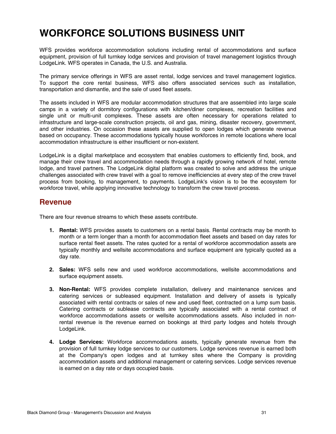## <span id="page-30-0"></span>**WORKFORCE SOLUTIONS BUSINESS UNIT**

WFS provides workforce accommodation solutions including rental of accommodations and surface equipment, provision of full turnkey lodge services and provision of travel management logistics through LodgeLink. WFS operates in Canada, the U.S. and Australia.

The primary service offerings in WFS are asset rental, lodge services and travel management logistics. To support the core rental business, WFS also offers associated services such as installation, transportation and dismantle, and the sale of used fleet assets.

The assets included in WFS are modular accommodation structures that are assembled into large scale camps in a variety of dormitory configurations with kitchen/diner complexes, recreation facilities and single unit or multi-unit complexes. These assets are often necessary for operations related to infrastructure and large-scale construction projects, oil and gas, mining, disaster recovery, government, and other industries. On occasion these assets are supplied to open lodges which generate revenue based on occupancy. These accommodations typically house workforces in remote locations where local accommodation infrastructure is either insufficient or non-existent.

LodgeLink is a digital marketplace and ecosystem that enables customers to efficiently find, book, and manage their crew travel and accommodation needs through a rapidly growing network of hotel, remote lodge, and travel partners. The LodgeLink digital platform was created to solve and address the unique challenges associated with crew travel with a goal to remove inefficiencies at every step of the crew travel process from booking, to management, to payments. LodgeLink's vision is to be the ecosystem for workforce travel, while applying innovative technology to transform the crew travel process.

#### **Revenue**

There are four revenue streams to which these assets contribute.

- **1. Rental:** WFS provides assets to customers on a rental basis. Rental contracts may be month to month or a term longer than a month for accommodation fleet assets and based on day rates for surface rental fleet assets. The rates quoted for a rental of workforce accommodation assets are typically monthly and wellsite accommodations and surface equipment are typically quoted as a day rate.
- **2. Sales:** WFS sells new and used workforce accommodations, wellsite accommodations and surface equipment assets.
- **3. Non-Rental:** WFS provides complete installation, delivery and maintenance services and catering services or subleased equipment. Installation and delivery of assets is typically associated with rental contracts or sales of new and used fleet, contracted on a lump sum basis. Catering contracts or sublease contracts are typically associated with a rental contract of workforce accommodations assets or wellsite accommodations assets. Also included in nonrental revenue is the revenue earned on bookings at third party lodges and hotels through LodgeLink.
- **4. Lodge Services:** Workforce accommodations assets, typically generate revenue from the provision of full turnkey lodge services to our customers. Lodge services revenue is earned both at the Company's open lodges and at turnkey sites where the Company is providing accommodation assets and additional management or catering services. Lodge services revenue is earned on a day rate or days occupied basis.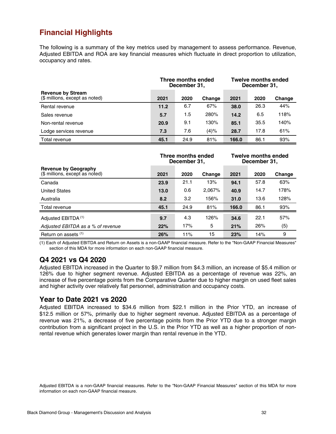## **Financial Highlights**

The following is a summary of the key metrics used by management to assess performance. Revenue, Adjusted EBITDA and ROA are key financial measures which fluctuate in direct proportion to utilization, occupancy and rates.

|                                                            | Three months ended<br>December 31, |      |        | <b>Twelve months ended</b><br>December 31, |      |        |
|------------------------------------------------------------|------------------------------------|------|--------|--------------------------------------------|------|--------|
| <b>Revenue by Stream</b><br>(\$ millions, except as noted) | 2021                               | 2020 | Change | 2021                                       | 2020 | Change |
| Rental revenue                                             | 11.2                               | 6.7  | 67%    | 38.0                                       | 26.3 | 44%    |
| Sales revenue                                              | 5.7                                | 1.5  | 280%   | 14.2                                       | 6.5  | 118%   |
| Non-rental revenue                                         | 20.9                               | 9.1  | 130%   | 85.1                                       | 35.5 | 140%   |
| Lodge services revenue                                     | 7.3                                | 7.6  | (4)%   | 28.7                                       | 17.8 | 61%    |
| Total revenue                                              | 45.1                               | 24.9 | 81%    | 166.0                                      | 86.1 | 93%    |

|                                                        | Three months ended<br>December 31, |      |        | <b>Twelve months ended</b><br>December 31, |      |        |
|--------------------------------------------------------|------------------------------------|------|--------|--------------------------------------------|------|--------|
| Revenue by Geography<br>(\$ millions, except as noted) | 2021                               | 2020 | Change | 2021                                       | 2020 | Change |
| Canada                                                 | 23.9                               | 21.1 | 13%    | 94.1                                       | 57.8 | 63%    |
| <b>United States</b>                                   | 13.0                               | 0.6  | 2,067% | 40.9                                       | 14.7 | 178%   |
| Australia                                              | 8.2                                | 3.2  | 156%   | 31.0                                       | 13.6 | 128%   |
| Total revenue                                          | 45.1                               | 24.9 | 81%    | 166.0                                      | 86.1 | 93%    |
| Adjusted EBITDA <sup>(1)</sup>                         | 9.7                                | 4.3  | 126%   | 34.6                                       | 22.1 | 57%    |
| Adjusted EBITDA as a % of revenue                      | 22%                                | 17%  | 5      | 21%                                        | 26%  | (5)    |
| Return on assets (1)                                   | 26%                                | 11%  | 15     | 23%                                        | 14%  | 9      |

(1) Each of Adjusted EBITDA and Return on Assets is a non-GAAP financial measure. Refer to the "Non-GAAP Financial Measures" section of this MDA for more information on each non-GAAP financial measure.

#### **Q4 2021 vs Q4 2020**

Adjusted EBITDA increased in the Quarter to \$9.7 million from \$4.3 million, an increase of \$5.4 million or 126% due to higher segment revenue. Adjusted EBITDA as a percentage of revenue was 22%, an increase of five percentage points from the Comparative Quarter due to higher margin on used fleet sales and higher activity over relatively flat personnel, administration and occupancy costs.

#### **Year to Date 2021 vs 2020**

Adjusted EBITDA increased to \$34.6 million from \$22.1 million in the Prior YTD, an increase of \$12.5 million or 57%, primarily due to higher segment revenue. Adjusted EBITDA as a percentage of revenue was 21%, a decrease of five percentage points from the Prior YTD due to a stronger margin contribution from a significant project in the U.S. in the Prior YTD as well as a higher proportion of nonrental revenue which generates lower margin than rental revenue in the YTD.

Adjusted EBITDA is a non-GAAP financial measures. Refer to the "Non-GAAP Financial Measures" section of this MDA for more information on each non-GAAP financial measure.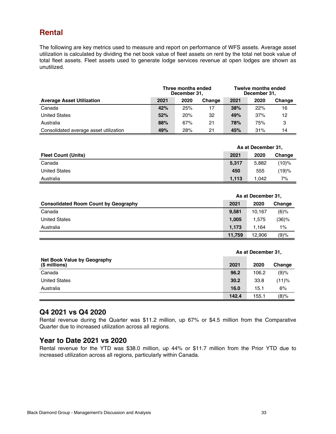### **Rental**

The following are key metrics used to measure and report on performance of WFS assets. Average asset utilization is calculated by dividing the net book value of fleet assets on rent by the total net book value of total fleet assets. Fleet assets used to generate lodge services revenue at open lodges are shown as unutilized.

|                                        | Three months ended<br>December 31, |      |        | <b>Twelve months ended</b><br>December 31, |      |        |
|----------------------------------------|------------------------------------|------|--------|--------------------------------------------|------|--------|
| <b>Average Asset Utilization</b>       | 2021                               | 2020 | Change | 2021                                       | 2020 | Change |
| Canada                                 | 42%                                | 25%  | 17     | 38%                                        | 22%  | 16     |
| <b>United States</b>                   | 52%                                | 20%  | 32     | 49%                                        | 37%  | 12     |
| Australia                              | 88%                                | 67%  | 21     | 78%                                        | 75%  | 3      |
| Consolidated average asset utilization | 49%                                | 28%  | 21     | 45%                                        | 31%  | 14     |

|                            | As at December 31, |       |        |
|----------------------------|--------------------|-------|--------|
| <b>Fleet Count (Units)</b> | 2021               | 2020  | Change |
| Canada                     | 5,317              | 5.882 | (10)%  |
| <b>United States</b>       | 450                | 555   | (19)%  |
| Australia                  | 1.113              | 1.042 | 7%     |

|                                             |        | As at December 31, |          |  |  |
|---------------------------------------------|--------|--------------------|----------|--|--|
| <b>Consolidated Room Count by Geography</b> |        | 2020               | Change   |  |  |
| Canada                                      | 9,581  | 10.167             | $(6)\%$  |  |  |
| <b>United States</b>                        | 1,005  | 1.575              | $(36)\%$ |  |  |
| Australia                                   | 1.173  | 1.164              | $1\%$    |  |  |
|                                             | 11.759 | 12.906             | (9)%     |  |  |

|                                                     |       | As at December 31, |         |  |  |
|-----------------------------------------------------|-------|--------------------|---------|--|--|
| <b>Net Book Value by Geography</b><br>(\$ millions) | 2021  | 2020               | Change  |  |  |
| Canada                                              | 96.2  | 106.2              | (9)%    |  |  |
| <b>United States</b>                                | 30.2  | 33.8               | (11)%   |  |  |
| Australia                                           | 16.0  | 15.1               | 6%      |  |  |
|                                                     | 142.4 | 155.1              | $(8)\%$ |  |  |

#### **Q4 2021 vs Q4 2020**

Rental revenue during the Quarter was \$11.2 million, up 67% or \$4.5 million from the Comparative Quarter due to increased utilization across all regions.

#### **Year to Date 2021 vs 2020**

Rental revenue for the YTD was \$38.0 million, up 44% or \$11.7 million from the Prior YTD due to increased utilization across all regions, particularly within Canada.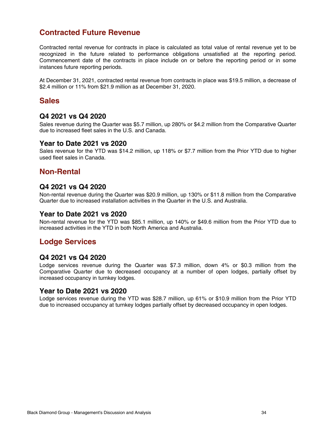## **Contracted Future Revenue**

Contracted rental revenue for contracts in place is calculated as total value of rental revenue yet to be recognized in the future related to performance obligations unsatisfied at the reporting period. Commencement date of the contracts in place include on or before the reporting period or in some instances future reporting periods.

At December 31, 2021, contracted rental revenue from contracts in place was \$19.5 million, a decrease of \$2.4 million or 11% from \$21.9 million as at December 31, 2020.

#### **Sales**

#### **Q4 2021 vs Q4 2020**

Sales revenue during the Quarter was \$5.7 million, up 280% or \$4.2 million from the Comparative Quarter due to increased fleet sales in the U.S. and Canada.

#### **Year to Date 2021 vs 2020**

Sales revenue for the YTD was \$14.2 million, up 118% or \$7.7 million from the Prior YTD due to higher used fleet sales in Canada.

#### **Non-Rental**

#### **Q4 2021 vs Q4 2020**

Non-rental revenue during the Quarter was \$20.9 million, up 130% or \$11.8 million from the Comparative Quarter due to increased installation activities in the Quarter in the U.S. and Australia.

#### **Year to Date 2021 vs 2020**

Non-rental revenue for the YTD was \$85.1 million, up 140% or \$49.6 million from the Prior YTD due to increased activities in the YTD in both North America and Australia.

### **Lodge Services**

#### **Q4 2021 vs Q4 2020**

Lodge services revenue during the Quarter was \$7.3 million, down 4% or \$0.3 million from the Comparative Quarter due to decreased occupancy at a number of open lodges, partially offset by increased occupancy in turnkey lodges.

#### **Year to Date 2021 vs 2020**

Lodge services revenue during the YTD was \$28.7 million, up 61% or \$10.9 million from the Prior YTD due to increased occupancy at turnkey lodges partially offset by decreased occupancy in open lodges.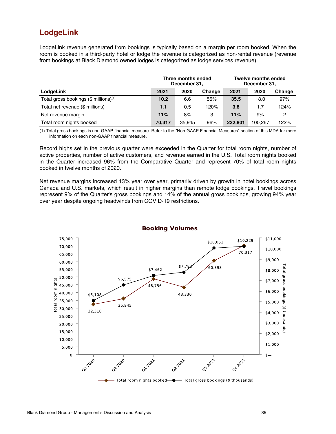### **LodgeLink**

LodgeLink revenue generated from bookings is typically based on a margin per room booked. When the room is booked in a third-party hotel or lodge the revenue is categorized as non-rental revenue (revenue from bookings at Black Diamond owned lodges is categorized as lodge services revenue).

|                                                     | Three months ended<br>December 31, |        |        | <b>Twelve months ended</b><br>December 31, |         |        |
|-----------------------------------------------------|------------------------------------|--------|--------|--------------------------------------------|---------|--------|
| LodgeLink                                           | 2021                               | 2020   | Change | 2021                                       | 2020    | Change |
| Total gross bookings $(\$$ millions) <sup>(1)</sup> | 10.2                               | 6.6    | 55%    | 35.5                                       | 18.0    | 97%    |
| Total net revenue (\$ millions)                     | 1.1                                | 0.5    | 120%   | 3.8                                        | 1.7     | 124%   |
| Net revenue margin                                  | 11%                                | 8%     | 3      | 11%                                        | 9%      | 2      |
| Total room nights booked                            | 70.317                             | 35.945 | 96%    | 222.801                                    | 100.267 | 122%   |

(1) Total gross bookings is non-GAAP financial measure. Refer to the "Non-GAAP Financial Measures" section of this MDA for more information on each non-GAAP financial measure.

Record highs set in the previous quarter were exceeded in the Quarter for total room nights, number of active properties, number of active customers, and revenue earned in the U.S. Total room nights booked in the Quarter increased 96% from the Comparative Quarter and represent 70% of total room nights booked in twelve months of 2020.

Net revenue margins increased 13% year over year, primarily driven by growth in hotel bookings across Canada and U.S. markets, which result in higher margins than remote lodge bookings. Travel bookings represent 9% of the Quarter's gross bookings and 14% of the annual gross bookings, growing 94% year over year despite ongoing headwinds from COVID-19 restrictions.

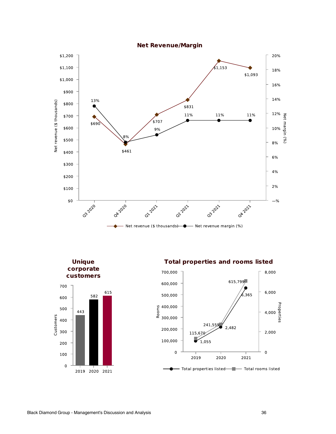

**Unique** corporate customers



**Total properties and rooms listed** 

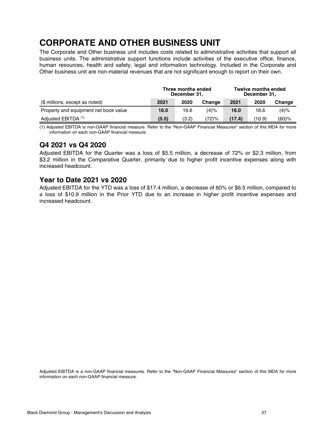## <span id="page-36-0"></span>**CORPORATE AND OTHER BUSINESS UNIT**

The Corporate and Other business unit includes costs related to administrative activities that support all business units. The administrative support functions include activities of the executive office, finance, human resources, health and safety, legal and information technology. Included in the Corporate and Other business unit are non-material revenues that are not significant enough to report on their own.

|                                       | Three months ended<br>December 31, |       |         | <b>Twelve months ended</b><br>December 31, |        |         |
|---------------------------------------|------------------------------------|-------|---------|--------------------------------------------|--------|---------|
| (\$ millions, except as noted)        | 2021                               | 2020  | Change  | 2021                                       | 2020   | Change  |
| Property and equipment net book value | 16.0                               | 16.6  | $(4)\%$ | 16.0                                       | 16.6   | $(4)\%$ |
| Adjusted EBITDA <sup>(1)</sup>        | (5.5)                              | (3.2) | '72)%   | (17.4)                                     | (10.9) | (60)%   |

(1) Adjusted EBITDA is non-GAAP financial measure. Refer to the "Non-GAAP Financial Measures" section of this MDA for more information on each non-GAAP financial measure.

#### **Q4 2021 vs Q4 2020**

Adjusted EBITDA for the Quarter was a loss of \$5.5 million, a decrease of 72% or \$2.3 million, from \$3.2 million in the Comparative Quarter, primarily due to higher profit incentive expenses along with increased headcount.

#### **Year to Date 2021 vs 2020**

Adjusted EBITDA for the YTD was a loss of \$17.4 million, a decrease of 60% or \$6.5 million, compared to a loss of \$10.9 million in the Prior YTD due to an increase in higher profit incentive expenses and increased headcount.

Adjusted EBITDA is a non-GAAP financial measures. Refer to the "Non-GAAP Financial Measures" section of this MDA for more information on each non-GAAP financial measure.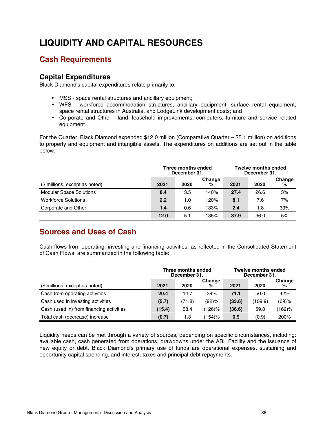## <span id="page-37-0"></span>**LIQUIDITY AND CAPITAL RESOURCES**

## **Cash Requirements**

#### **Capital Expenditures**

Black Diamond's capital expenditures relate primarily to:

- MSS space rental structures and ancillary equipment;
- WFS workforce accommodation structures, ancillary equipment, surface rental equipment, space rental structures in Australia, and LodgeLink development costs; and
- Corporate and Other land, leasehold improvements, computers, furniture and service related equipment.

For the Quarter, Black Diamond expended \$12.0 million (Comparative Quarter – \$5.1 million) on additions to property and equipment and intangible assets. The expenditures on additions are set out in the table below.

|                                | Three months ended<br>December 31, |      |             | <b>Twelve months ended</b><br>December 31, |      |             |
|--------------------------------|------------------------------------|------|-------------|--------------------------------------------|------|-------------|
| (\$ millions, except as noted) | 2021                               | 2020 | Change<br>% | 2021                                       | 2020 | Change<br>℅ |
| <b>Modular Space Solutions</b> | 8.4                                | 3.5  | 140%        | 27.4                                       | 26.6 | 3%          |
| <b>Workforce Solutions</b>     | 2.2                                | 1.0  | 120%        | 8.1                                        | 7.6  | 7%          |
| Corporate and Other            | 1.4                                | 0.6  | 133%        | 2.4                                        | 1.8  | 33%         |
|                                | 12.0                               | 5.1  | 135%        | 37.9                                       | 36.0 | 5%          |

## **Sources and Uses of Cash**

Cash flows from operating, investing and financing activities, as reflected in the Consolidated Statement of Cash Flows, are summarized in the following table:

|                                          | Three months ended<br>December 31, |        |             | <b>Twelve months ended</b><br>December 31, |         |             |
|------------------------------------------|------------------------------------|--------|-------------|--------------------------------------------|---------|-------------|
| (\$ millions, except as noted)           | 2021                               | 2020   | Change<br>% | 2021                                       | 2020    | Change<br>% |
| Cash from operating activities           | 20.4                               | 14.7   | 39%         | 71.1                                       | 50.0    | 42%         |
| Cash used in investing activities        | (5.7)                              | (71.8) | (92)%       | (33.6)                                     | (109.9) | (69)%       |
| Cash (used in) from financing activities | (15.4)                             | 58.4   | $(126)\%$   | (36.6)                                     | 59.0    | $(162)$ %   |
| Total cash (decrease) increase           | (0.7)                              | 1.3    | (154)%      | 0.9                                        | (0.9)   | 200%        |

Liquidity needs can be met through a variety of sources, depending on specific circumstances, including: available cash, cash generated from operations, drawdowns under the ABL Facility and the issuance of new equity or debt. Black Diamond's primary use of funds are operational expenses, sustaining and opportunity capital spending, and interest, taxes and principal debt repayments.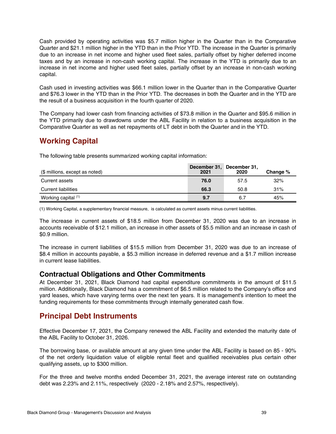Cash provided by operating activities was \$5.7 million higher in the Quarter than in the Comparative Quarter and \$21.1 million higher in the YTD than in the Prior YTD. The increase in the Quarter is primarily due to an increase in net income and higher used fleet sales, partially offset by higher deferred income taxes and by an increase in non-cash working capital. The increase in the YTD is primarily due to an increase in net income and higher used fleet sales, partially offset by an increase in non-cash working capital.

Cash used in investing activities was \$66.1 million lower in the Quarter than in the Comparative Quarter and \$76.3 lower in the YTD than in the Prior YTD. The decreases in both the Quarter and in the YTD are the result of a business acquisition in the fourth quarter of 2020.

The Company had lower cash from financing activities of \$73.8 million in the Quarter and \$95.6 million in the YTD primarily due to drawdowns under the ABL Facility in relation to a business acquisition in the Comparative Quarter as well as net repayments of LT debt in both the Quarter and in the YTD.

## **Working Capital**

The following table presents summarized working capital information:

| (\$ millions, except as noted) | December 31, December 31,<br>2021 | 2020 | Change % |
|--------------------------------|-----------------------------------|------|----------|
| Current assets                 | 76.0                              | 57.5 | 32%      |
| Current liabilities            | 66.3                              | 50.8 | 31%      |
| Working capital (1)            | 9.7                               | 6.7  | 45%      |

(1) Working Capital, a supplementary financial measure, is calculated as current assets minus current liabilities.

The increase in current assets of \$18.5 million from December 31, 2020 was due to an increase in accounts receivable of \$12.1 million, an increase in other assets of \$5.5 million and an increase in cash of \$0.9 million.

The increase in current liabilities of \$15.5 million from December 31, 2020 was due to an increase of \$8.4 million in accounts payable, a \$5.3 million increase in deferred revenue and a \$1.7 million increase in current lease liabilities.

#### **Contractual Obligations and Other Commitments**

At December 31, 2021, Black Diamond had capital expenditure commitments in the amount of \$11.5 million. Additionally, Black Diamond has a commitment of \$6.5 million related to the Company's office and yard leases, which have varying terms over the next ten years. It is management's intention to meet the funding requirements for these commitments through internally generated cash flow.

## **Principal Debt Instruments**

Effective December 17, 2021, the Company renewed the ABL Facility and extended the maturity date of the ABL Facility to October 31, 2026.

The borrowing base, or available amount at any given time under the ABL Facility is based on 85 - 90% of the net orderly liquidation value of eligible rental fleet and qualified receivables plus certain other qualifying assets, up to \$300 million.

For the three and twelve months ended December 31, 2021, the average interest rate on outstanding debt was 2.23% and 2.11%, respectively (2020 - 2.18% and 2.57%, respectively).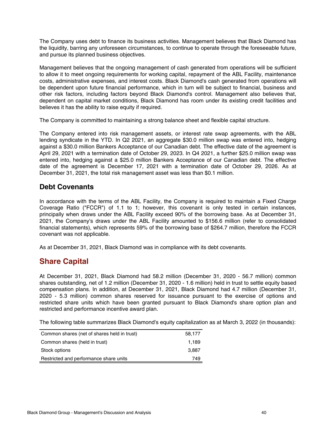The Company uses debt to finance its business activities. Management believes that Black Diamond has the liquidity, barring any unforeseen circumstances, to continue to operate through the foreseeable future, and pursue its planned business objectives.

Management believes that the ongoing management of cash generated from operations will be sufficient to allow it to meet ongoing requirements for working capital, repayment of the ABL Facility, maintenance costs, administrative expenses, and interest costs. Black Diamond's cash generated from operations will be dependent upon future financial performance, which in turn will be subject to financial, business and other risk factors, including factors beyond Black Diamond's control. Management also believes that, dependent on capital market conditions, Black Diamond has room under its existing credit facilities and believes it has the ability to raise equity if required.

The Company is committed to maintaining a strong balance sheet and flexible capital structure.

The Company entered into risk management assets, or interest rate swap agreements, with the ABL lending syndicate in the YTD. In Q2 2021, an aggregate \$30.0 million swap was entered into, hedging against a \$30.0 million Bankers Acceptance of our Canadian debt. The effective date of the agreement is April 29, 2021 with a termination date of October 29, 2023. In Q4 2021, a further \$25.0 million swap was entered into, hedging against a \$25.0 million Bankers Acceptance of our Canadian debt. The effective date of the agreement is December 17, 2021 with a termination date of October 29, 2026. As at December 31, 2021, the total risk management asset was less than \$0.1 million.

#### **Debt Covenants**

In accordance with the terms of the ABL Facility, the Company is required to maintain a Fixed Charge Coverage Ratio ("FCCR") of 1.1 to 1; however, this covenant is only tested in certain instances, principally when draws under the ABL Facility exceed 90% of the borrowing base. As at December 31, 2021, the Company's draws under the ABL Facility amounted to \$156.6 million (refer to consolidated financial statements), which represents 59% of the borrowing base of \$264.7 million, therefore the FCCR covenant was not applicable.

As at December 31, 2021, Black Diamond was in compliance with its debt covenants.

### **Share Capital**

At December 31, 2021, Black Diamond had 58.2 million (December 31, 2020 - 56.7 million) common shares outstanding, net of 1.2 million (December 31, 2020 - 1.6 million) held in trust to settle equity based compensation plans. In addition, at December 31, 2021, Black Diamond had 4.7 million (December 31, 2020 - 5.3 million) common shares reserved for issuance pursuant to the exercise of options and restricted share units which have been granted pursuant to Black Diamond's share option plan and restricted and performance incentive award plan.

The following table summarizes Black Diamond's equity capitalization as at March 3, 2022 (in thousands):

| Common shares (net of shares held in trust) | 58.177 |
|---------------------------------------------|--------|
| Common shares (held in trust)               | 1.189  |
| Stock options                               | 3.887  |
| Restricted and performance share units      | 749    |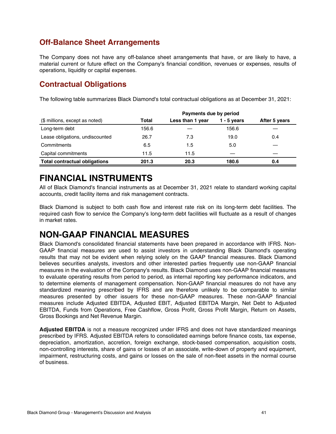## <span id="page-40-0"></span>**Off-Balance Sheet Arrangements**

The Company does not have any off-balance sheet arrangements that have, or are likely to have, a material current or future effect on the Company's financial condition, revenues or expenses, results of operations, liquidity or capital expenses.

### **Contractual Obligations**

The following table summarizes Black Diamond's total contractual obligations as at December 31, 2021:

|                                      | Payments due by period |                  |               |               |  |  |
|--------------------------------------|------------------------|------------------|---------------|---------------|--|--|
| (\$ millions, except as noted)       | Total                  | Less than 1 year | $1 - 5$ years | After 5 years |  |  |
| Long-term debt                       | 156.6                  |                  | 156.6         |               |  |  |
| Lease obligations, undiscounted      | 26.7                   | 7.3              | 19.0          | 0.4           |  |  |
| Commitments                          | 6.5                    | 1.5              | 5.0           |               |  |  |
| Capital commitments                  | 11.5                   | 11.5             |               |               |  |  |
| <b>Total contractual obligations</b> | 201.3                  | 20.3             | 180.6         | 0.4           |  |  |

## **FINANCIAL INSTRUMENTS**

All of Black Diamond's financial instruments as at December 31, 2021 relate to standard working capital accounts, credit facility items and risk management contracts.

Black Diamond is subject to both cash flow and interest rate risk on its long-term debt facilities. The required cash flow to service the Company's long-term debt facilities will fluctuate as a result of changes in market rates.

## **NON-GAAP FINANCIAL MEASURES**

Black Diamond's consolidated financial statements have been prepared in accordance with IFRS. Non-GAAP financial measures are used to assist investors in understanding Black Diamond's operating results that may not be evident when relying solely on the GAAP financial measures. Black Diamond believes securities analysts, investors and other interested parties frequently use non-GAAP financial measures in the evaluation of the Company's results. Black Diamond uses non-GAAP financial measures to evaluate operating results from period to period, as internal reporting key performance indicators, and to determine elements of management compensation. Non-GAAP financial measures do not have any standardized meaning prescribed by IFRS and are therefore unlikely to be comparable to similar measures presented by other issuers for these non-GAAP measures. These non-GAAP financial measures include Adjusted EBITDA, Adjusted EBIT, Adjusted EBITDA Margin, Net Debt to Adjusted EBITDA, Funds from Operations, Free Cashflow, Gross Profit, Gross Profit Margin, Return on Assets, Gross Bookings and Net Revenue Margin.

**Adjusted EBITDA** is not a measure recognized under IFRS and does not have standardized meanings prescribed by IFRS. Adjusted EBITDA refers to consolidated earnings before finance costs, tax expense, depreciation, amortization, accretion, foreign exchange, stock-based compensation, acquisition costs, non-controlling interests, share of gains or losses of an associate, write-down of property and equipment, impairment, restructuring costs, and gains or losses on the sale of non-fleet assets in the normal course of business.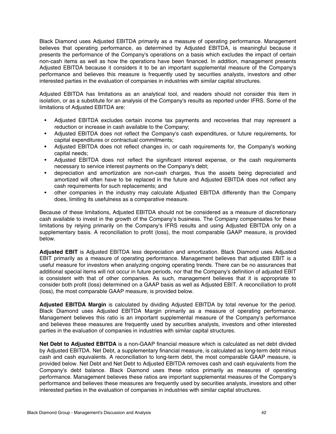Black Diamond uses Adjusted EBITDA primarily as a measure of operating performance. Management believes that operating performance, as determined by Adjusted EBITDA, is meaningful because it presents the performance of the Company's operations on a basis which excludes the impact of certain non-cash items as well as how the operations have been financed. In addition, management presents Adjusted EBITDA because it considers it to be an important supplemental measure of the Company's performance and believes this measure is frequently used by securities analysts, investors and other interested parties in the evaluation of companies in industries with similar capital structures.

Adjusted EBITDA has limitations as an analytical tool, and readers should not consider this item in isolation, or as a substitute for an analysis of the Company's results as reported under IFRS. Some of the limitations of Adjusted EBITDA are:

- Adjusted EBITDA excludes certain income tax payments and recoveries that may represent a reduction or increase in cash available to the Company;
- Adjusted EBITDA does not reflect the Company's cash expenditures, or future requirements, for capital expenditures or contractual commitments;
- **•** Adjusted EBITDA does not reflect changes in, or cash requirements for, the Company's working capital needs;
- Adjusted EBITDA does not reflect the significant interest expense, or the cash requirements necessary to service interest payments on the Company's debt;
- depreciation and amortization are non-cash charges, thus the assets being depreciated and amortized will often have to be replaced in the future and Adjusted EBITDA does not reflect any cash requirements for such replacements; and
- other companies in the industry may calculate Adjusted EBITDA differently than the Company does, limiting its usefulness as a comparative measure.

Because of these limitations, Adjusted EBITDA should not be considered as a measure of discretionary cash available to invest in the growth of the Company's business. The Company compensates for these limitations by relying primarily on the Company's IFRS results and using Adjusted EBITDA only on a supplementary basis. A reconciliation to profit (loss), the most comparable GAAP measure, is provided below.

**Adjusted EBIT** is Adjusted EBITDA less depreciation and amortization. Black Diamond uses Adjusted EBIT primarily as a measure of operating performance. Management believes that adjusted EBIT is a useful measure for investors when analyzing ongoing operating trends. There can be no assurances that additional special items will not occur in future periods, nor that the Company's definition of adjusted EBIT is consistent with that of other companies. As such, management believes that it is appropriate to consider both profit (loss) determined on a GAAP basis as well as Adjusted EBIT. A reconciliation to profit (loss), the most comparable GAAP measure, is provided below.

**Adjusted EBITDA Margin** is calculated by dividing Adjusted EBITDA by total revenue for the period. Black Diamond uses Adjusted EBITDA Margin primarily as a measure of operating performance. Management believes this ratio is an important supplemental measure of the Company's performance and believes these measures are frequently used by securities analysts, investors and other interested parties in the evaluation of companies in industries with similar capital structures.

**Net Debt to Adjusted EBITDA** is a non-GAAP financial measure which is calculated as net debt divided by Adjusted EBITDA. Net Debt, a supplementary financial measure, is calculated as long-term debt minus cash and cash equivalents. A reconciliation to long-term debt, the most comparable GAAP measure, is provided below. Net Debt and Net Debt to Adjusted EBITDA removes cash and cash equivalents from the Company's debt balance. Black Diamond uses these ratios primarily as measures of operating performance. Management believes these ratios are important supplemental measures of the Company's performance and believes these measures are frequently used by securities analysts, investors and other interested parties in the evaluation of companies in industries with similar capital structures.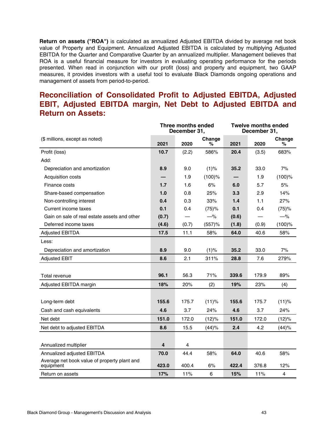**Return on assets ("ROA")** is calculated as annualized Adjusted EBITDA divided by average net book value of Property and Equipment. Annualized Adjusted EBITDA is calculated by multiplying Adjusted EBITDA for the Quarter and Comparative Quarter by an annualized multiplier. Management believes that ROA is a useful financial measure for investors in evaluating operating performance for the periods presented. When read in conjunction with our profit (loss) and property and equipment, two GAAP measures, it provides investors with a useful tool to evaluate Black Diamonds ongoing operations and management of assets from period-to-period.

## **Reconciliation of Consolidated Profit to Adjusted EBITDA, Adjusted EBIT, Adjusted EBITDA margin, Net Debt to Adjusted EBITDA and Return on Assets:**

|                                                           | <b>Three months ended</b><br>December 31, |       |             | <b>Twelve months ended</b><br>December 31, |       |                |
|-----------------------------------------------------------|-------------------------------------------|-------|-------------|--------------------------------------------|-------|----------------|
| (\$ millions, except as noted)                            | 2021                                      | 2020  | Change<br>℅ | 2021                                       | 2020  | Change<br>℅    |
| Profit (loss)                                             | 10.7                                      | (2.2) | 586%        | 20.4                                       | (3.5) | 683%           |
| Add:                                                      |                                           |       |             |                                            |       |                |
| Depreciation and amortization                             | 8.9                                       | 9.0   | (1)%        | 35.2                                       | 33.0  | 7%             |
| Acquisition costs                                         |                                           | 1.9   | $(100)$ %   |                                            | 1.9   | $(100)$ %      |
| Finance costs                                             | 1.7                                       | 1.6   | 6%          | 6.0                                        | 5.7   | 5%             |
| Share-based compensation                                  | 1.0                                       | 0.8   | 25%         | 3.3                                        | 2.9   | 14%            |
| Non-controlling interest                                  | 0.4                                       | 0.3   | 33%         | 1.4                                        | 1.1   | 27%            |
| Current income taxes                                      | 0.1                                       | 0.4   | (75)%       | 0.1                                        | 0.4   | (75)%          |
| Gain on sale of real estate assets and other              | (0.7)                                     |       | $-%$        | (0.6)                                      |       | $-\%$          |
| Deferred income taxes                                     | (4.6)                                     | (0.7) | (557)%      | (1.8)                                      | (0.9) | $(100)$ %      |
| <b>Adjusted EBITDA</b>                                    | 17.5                                      | 11.1  | 58%         | 64.0                                       | 40.6  | 58%            |
| Less:                                                     |                                           |       |             |                                            |       |                |
| Depreciation and amortization                             | 8.9                                       | 9.0   | (1)%        | 35.2                                       | 33.0  | 7%             |
| <b>Adjusted EBIT</b>                                      | 8.6                                       | 2.1   | 311%        | 28.8                                       | 7.6   | 279%           |
|                                                           |                                           |       |             |                                            |       |                |
| Total revenue                                             | 96.1                                      | 56.3  | 71%         | 339.6                                      | 179.9 | 89%            |
| Adjusted EBITDA margin                                    | 18%                                       | 20%   | (2)         | 19%                                        | 23%   | (4)            |
|                                                           |                                           |       |             |                                            |       |                |
| Long-term debt                                            | 155.6                                     | 175.7 | (11)%       | 155.6                                      | 175.7 | (11)%          |
| Cash and cash equivalents                                 | 4.6                                       | 3.7   | 24%         | 4.6                                        | 3.7   | 24%            |
| Net debt                                                  | 151.0                                     | 172.0 | (12)%       | 151.0                                      | 172.0 | (12)%          |
| Net debt to adjusted EBITDA                               | 8.6                                       | 15.5  | (44)%       | 2.4                                        | 4.2   | (44)%          |
|                                                           |                                           |       |             |                                            |       |                |
| Annualized multiplier                                     | 4                                         | 4     |             |                                            |       |                |
| Annualized adjusted EBITDA                                | 70.0                                      | 44.4  | 58%         | 64.0                                       | 40.6  | 58%            |
| Average net book value of property plant and<br>equipment | 423.0                                     | 400.4 | 6%          | 422.4                                      | 376.8 | 12%            |
| Return on assets                                          | 17%                                       | 11%   | 6           | 15%                                        | 11%   | $\overline{4}$ |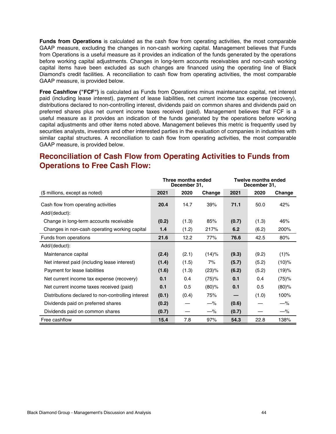**Funds from Operations** is calculated as the cash flow from operating activities, the most comparable GAAP measure, excluding the changes in non-cash working capital. Management believes that Funds from Operations is a useful measure as it provides an indication of the funds generated by the operations before working capital adjustments. Changes in long-term accounts receivables and non-cash working capital items have been excluded as such changes are financed using the operating line of Black Diamond's credit facilities. A reconciliation to cash flow from operating activities, the most comparable GAAP measure, is provided below.

**Free Cashflow ("FCF")** is calculated as Funds from Operations minus maintenance capital, net interest paid (including lease interest), payment of lease liabilities, net current income tax expense (recovery), distributions declared to non-controlling interest, dividends paid on common shares and dividends paid on preferred shares plus net current income taxes received (paid). Management believes that FCF is a useful measure as it provides an indication of the funds generated by the operations before working capital adjustments and other items noted above. Management believes this metric is frequently used by securities analysts, investors and other interested parties in the evaluation of companies in industries with similar capital structures. A reconciliation to cash flow from operating activities, the most comparable GAAP measure, is provided below.

## **Reconciliation of Cash Flow from Operating Activities to Funds from Operations to Free Cash Flow:**

|                                                    | Three months ended<br>December 31, |       | <b>Twelve months ended</b><br>December 31, |       |       |          |
|----------------------------------------------------|------------------------------------|-------|--------------------------------------------|-------|-------|----------|
| (\$ millions, except as noted)                     | 2021                               | 2020  | Change                                     | 2021  | 2020  | Change   |
| Cash flow from operating activities                | 20.4                               | 14.7  | 39%                                        | 71.1  | 50.0  | 42%      |
| Add/(deduct):                                      |                                    |       |                                            |       |       |          |
| Change in long-term accounts receivable            | (0.2)                              | (1.3) | 85%                                        | (0.7) | (1.3) | 46%      |
| Changes in non-cash operating working capital      | 1.4                                | (1.2) | 217%                                       | 6.2   | (6.2) | 200%     |
| Funds from operations                              | 21.6                               | 12.2  | 77%                                        | 76.6  | 42.5  | 80%      |
| Add/(deduct):                                      |                                    |       |                                            |       |       |          |
| Maintenance capital                                | (2.4)                              | (2.1) | (14)%                                      | (9.3) | (9.2) | (1)%     |
| Net interest paid (including lease interest)       | (1.4)                              | (1.5) | 7%                                         | (5.7) | (5.2) | (10)%    |
| Payment for lease liabilities                      | (1.6)                              | (1.3) | (23)%                                      | (6.2) | (5.2) | (19)%    |
| Net current income tax expense (recovery)          | 0.1                                | 0.4   | (75)%                                      | 0.1   | 0.4   | (75)%    |
| Net current income taxes received (paid)           | 0.1                                | 0.5   | $(80)$ %                                   | 0.1   | 0.5   | $(80)$ % |
| Distributions declared to non-controlling interest | (0.1)                              | (0.4) | 75%                                        |       | (1.0) | 100%     |
| Dividends paid on preferred shares                 | (0.2)                              |       | $-\%$                                      | (0.6) |       | $-\%$    |
| Dividends paid on common shares                    | (0.7)                              |       | $-\%$                                      | (0.7) |       | $-\%$    |
| Free cashflow                                      | 15.4                               | 7.8   | 97%                                        | 54.3  | 22.8  | 138%     |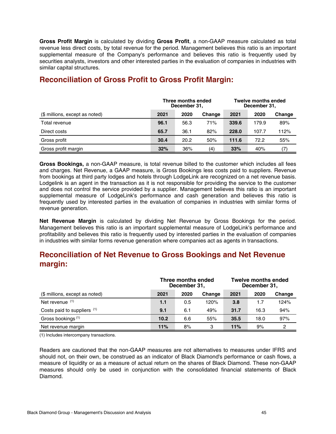**Gross Profit Margin** is calculated by dividing **Gross Profit**, a non-GAAP measure calculated as total revenue less direct costs, by total revenue for the period. Management believes this ratio is an important supplemental measure of the Company's performance and believes this ratio is frequently used by securities analysts, investors and other interested parties in the evaluation of companies in industries with similar capital structures.

|                                | Three months ended<br>December 31, |      |        | <b>Twelve months ended</b><br>December 31, |       |        |  |
|--------------------------------|------------------------------------|------|--------|--------------------------------------------|-------|--------|--|
| (\$ millions, except as noted) | 2021                               | 2020 | Change | 2021                                       | 2020  | Change |  |
| Total revenue                  | 96.1                               | 56.3 | 71%    | 339.6                                      | 179.9 | 89%    |  |
| Direct costs                   | 65.7                               | 36.1 | 82%    | 228.0                                      | 107.7 | 112%   |  |
| Gross profit                   | 30.4                               | 20.2 | 50%    | 111.6                                      | 72.2  | 55%    |  |
| Gross profit margin            | 32%                                | 36%  | (4)    | 33%                                        | 40%   | (7)    |  |

## **Reconciliation of Gross Profit to Gross Profit Margin:**

**Gross Bookings,** a non-GAAP measure, is total revenue billed to the customer which includes all fees and charges. Net Revenue, a GAAP measure, is Gross Bookings less costs paid to suppliers. Revenue from bookings at third party lodges and hotels through LodgeLink are recognized on a net revenue basis. Lodgelink is an agent in the transaction as it is not responsible for providing the service to the customer and does not control the service provided by a supplier. Management believes this ratio is an important supplemental measure of LodgeLink's performance and cash generation and believes this ratio is frequently used by interested parties in the evaluation of companies in industries with similar forms of revenue generation.

**Net Revenue Margin** is calculated by dividing Net Revenue by Gross Bookings for the period. Management believes this ratio is an important supplemental measure of LodgeLink's performance and profitability and believes this ratio is frequently used by interested parties in the evaluation of companies in industries with similar forms revenue generation where companies act as agents in transactions.

## **Reconciliation of Net Revenue to Gross Bookings and Net Revenue margin:**

|                                | Three months ended<br>December 31, |      | <b>Twelve months ended</b><br>December 31, |      |      |        |
|--------------------------------|------------------------------------|------|--------------------------------------------|------|------|--------|
| (\$ millions, except as noted) | 2021                               | 2020 | Change                                     | 2021 | 2020 | Change |
| Net revenue (1)                | 1.1                                | 0.5  | 120%                                       | 3.8  | 1.7  | 124%   |
| Costs paid to suppliers (1)    | 9.1                                | 6.1  | 49%                                        | 31.7 | 16.3 | 94%    |
| Gross bookings <sup>(1)</sup>  | 10.2                               | 6.6  | 55%                                        | 35.5 | 18.0 | 97%    |
| Net revenue margin             | 11%                                | 8%   | 3                                          | 11%  | 9%   | 2      |

(1) Includes intercompany transactions.

Readers are cautioned that the non-GAAP measures are not alternatives to measures under IFRS and should not, on their own, be construed as an indicator of Black Diamond's performance or cash flows, a measure of liquidity or as a measure of actual return on the shares of Black Diamond. These non-GAAP measures should only be used in conjunction with the consolidated financial statements of Black Diamond.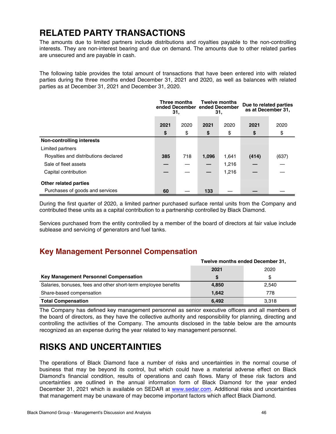## <span id="page-45-0"></span>**RELATED PARTY TRANSACTIONS**

The amounts due to limited partners include distributions and royalties payable to the non-controlling interests. They are non-interest bearing and due on demand. The amounts due to other related parties are unsecured and are payable in cash.

The following table provides the total amount of transactions that have been entered into with related parties during the three months ended December 31, 2021 and 2020, as well as balances with related parties as at December 31, 2021 and December 31, 2020.

|                                      | Three months<br>31. |            | <b>Twelve months</b><br>ended December ended December<br>31. |            | Due to related parties<br>as at December 31, |            |
|--------------------------------------|---------------------|------------|--------------------------------------------------------------|------------|----------------------------------------------|------------|
|                                      | 2021<br>\$          | 2020<br>\$ | 2021<br>\$                                                   | 2020<br>\$ | 2021<br>\$                                   | 2020<br>\$ |
| <b>Non-controlling interests</b>     |                     |            |                                                              |            |                                              |            |
| Limited partners                     |                     |            |                                                              |            |                                              |            |
| Royalties and distributions declared | 385                 | 718        | 1,096                                                        | 1,641      | (414)                                        | (637)      |
| Sale of fleet assets                 |                     |            |                                                              | 1,216      |                                              |            |
| Capital contribution                 |                     |            |                                                              | 1,216      |                                              |            |
| Other related parties                |                     |            |                                                              |            |                                              |            |
| Purchases of goods and services      | 60                  |            | 133                                                          |            |                                              |            |

During the first quarter of 2020, a limited partner purchased surface rental units from the Company and contributed these units as a capital contribution to a partnership controlled by Black Diamond.

Services purchased from the entity controlled by a member of the board of directors at fair value include sublease and servicing of generators and fuel tanks.

## **Key Management Personnel Compensation**

|                                                                | Twelve months ended December 31, |       |  |  |
|----------------------------------------------------------------|----------------------------------|-------|--|--|
|                                                                | 2021<br>2020                     |       |  |  |
| Key Management Personnel Compensation                          |                                  | S     |  |  |
| Salaries, bonuses, fees and other short-term employee benefits | 4,850                            | 2,540 |  |  |
| Share-based compensation                                       | 1.642                            | 778   |  |  |
| <b>Total Compensation</b>                                      | 6.492                            | 3.318 |  |  |

The Company has defined key management personnel as senior executive officers and all members of the board of directors, as they have the collective authority and responsibility for planning, directing and controlling the activities of the Company. The amounts disclosed in the table below are the amounts recognized as an expense during the year related to key management personnel.

## **RISKS AND UNCERTAINTIES**

The operations of Black Diamond face a number of risks and uncertainties in the normal course of business that may be beyond its control, but which could have a material adverse effect on Black Diamond's financial condition, results of operations and cash flows. Many of these risk factors and uncertainties are outlined in the annual information form of Black Diamond for the year ended December 31, 2021 which is available on SEDAR at [www.sedar.com.](http://www.sedar.com) Additional risks and uncertainties that management may be unaware of may become important factors which affect Black Diamond.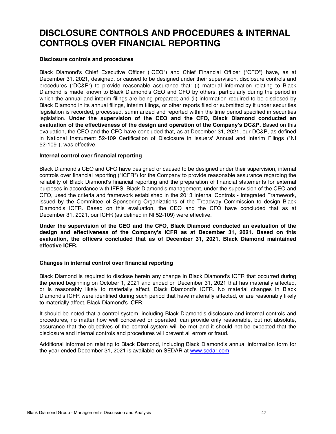## <span id="page-46-0"></span>**DISCLOSURE CONTROLS AND PROCEDURES & INTERNAL CONTROLS OVER FINANCIAL REPORTING**

#### **Disclosure controls and procedures**

Black Diamond's Chief Executive Officer ("CEO") and Chief Financial Officer ("CFO") have, as at December 31, 2021, designed, or caused to be designed under their supervision, disclosure controls and procedures ("DC&P") to provide reasonable assurance that: (i) material information relating to Black Diamond is made known to Black Diamond's CEO and CFO by others, particularly during the period in which the annual and interim filings are being prepared; and (ii) information required to be disclosed by Black Diamond in its annual filings, interim filings, or other reports filed or submitted by it under securities legislation is recorded, processed, summarized and reported within the time period specified in securities legislation. **Under the supervision of the CEO and the CFO, Black Diamond conducted an evaluation of the effectiveness of the design and operation of the Company's DC&P.** Based on this evaluation, the CEO and the CFO have concluded that, as at December 31, 2021, our DC&P, as defined in National Instrument 52-109 Certification of Disclosure in Issuers' Annual and Interim Filings ("NI 52-109"), was effective.

#### **Internal control over financial reporting**

Black Diamond's CEO and CFO have designed or caused to be designed under their supervision, internal controls over financial reporting ("ICFR") for the Company to provide reasonable assurance regarding the reliability of Black Diamond's financial reporting and the preparation of financial statements for external purposes in accordance with IFRS. Black Diamond's management, under the supervision of the CEO and CFO, used the criteria and framework established in the 2013 Internal Controls - Integrated Framework, issued by the Committee of Sponsoring Organizations of the Treadway Commission to design Black Diamond's ICFR. Based on this evaluation, the CEO and the CFO have concluded that as at December 31, 2021, our ICFR (as defined in NI 52-109) were effective.

**Under the supervision of the CEO and the CFO, Black Diamond conducted an evaluation of the design and effectiveness of the Company's ICFR as at December 31, 2021. Based on this evaluation, the officers concluded that as of December 31, 2021, Black Diamond maintained effective ICFR.**

#### **Changes in internal control over financial reporting**

Black Diamond is required to disclose herein any change in Black Diamond's ICFR that occurred during the period beginning on October 1, 2021 and ended on December 31, 2021 that has materially affected, or is reasonably likely to materially affect, Black Diamond's ICFR. No material changes in Black Diamond's ICFR were identified during such period that have materially affected, or are reasonably likely to materially affect, Black Diamond's ICFR.

It should be noted that a control system, including Black Diamond's disclosure and internal controls and procedures, no matter how well conceived or operated, can provide only reasonable, but not absolute, assurance that the objectives of the control system will be met and it should not be expected that the disclosure and internal controls and procedures will prevent all errors or fraud.

Additional information relating to Black Diamond, including Black Diamond's annual information form for the year ended December 31, 2021 is available on SEDAR at [www.sedar.com.](http://www.sedar.com)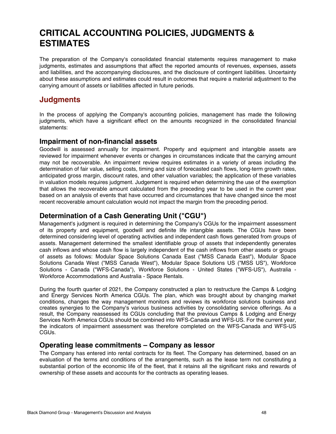## **CRITICAL ACCOUNTING POLICIES, JUDGMENTS & ESTIMATES**

The preparation of the Company's consolidated financial statements requires management to make judgments, estimates and assumptions that affect the reported amounts of revenues, expenses, assets and liabilities, and the accompanying disclosures, and the disclosure of contingent liabilities. Uncertainty about these assumptions and estimates could result in outcomes that require a material adjustment to the carrying amount of assets or liabilities affected in future periods.

## **Judgments**

In the process of applying the Company's accounting policies, management has made the following judgments, which have a significant effect on the amounts recognized in the consolidated financial statements:

#### **Impairment of non-financial assets**

Goodwill is assessed annually for impairment. Property and equipment and intangible assets are reviewed for impairment whenever events or changes in circumstances indicate that the carrying amount may not be recoverable. An impairment review requires estimates in a variety of areas including the determination of fair value, selling costs, timing and size of forecasted cash flows, long-term growth rates, anticipated gross margin, discount rates, and other valuation variables; the application of these variables in valuation models requires judgment. Judgement is required when determining the use of the exemption that allows the recoverable amount calculated from the preceding year to be used in the current year based on an analysis of events that have occurred and circumstances that have changed since the most recent recoverable amount calculation would not impact the margin from the preceding period.

#### **Determination of a Cash Generating Unit ("CGU")**

Management's judgment is required in determining the Company's CGUs for the impairment assessment of its property and equipment, goodwill and definite life intangible assets. The CGUs have been determined considering level of operating activities and independent cash flows generated from groups of assets. Management determined the smallest identifiable group of assets that independently generates cash inflows and whose cash flow is largely independent of the cash inflows from other assets or groups of assets as follows: Modular Space Solutions Canada East ("MSS Canada East"), Modular Space Solutions Canada West ("MSS Canada West"), Modular Space Solutions US ("MSS US"), Workforce Solutions - Canada ("WFS-Canada"), Workforce Solutions - United States ("WFS-US"), Australia - Workforce Accommodations and Australia - Space Rentals.

During the fourth quarter of 2021, the Company constructed a plan to restructure the Camps & Lodging and Energy Services North America CGUs. The plan, which was brought about by changing market conditions, changes the way management monitors and reviews its workforce solutions business and creates synergies to the Company's various business activities by consolidating service offerings. As a result, the Company reassessed its CGUs concluding that the previous Camps & Lodging and Energy Services North America CGUs should be combined into WFS-Canada and WFS-US. For the current year, the indicators of impairment assessment was therefore completed on the WFS-Canada and WFS-US CGUs.

#### **Operating lease commitments – Company as lessor**

The Company has entered into rental contracts for its fleet. The Company has determined, based on an evaluation of the terms and conditions of the arrangements, such as the lease term not constituting a substantial portion of the economic life of the fleet, that it retains all the significant risks and rewards of ownership of these assets and accounts for the contracts as operating leases.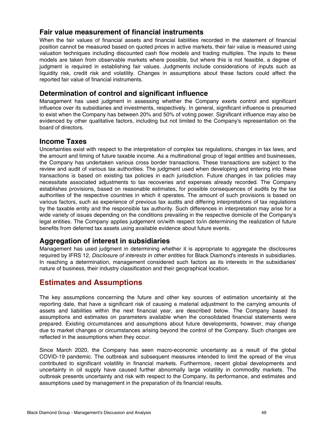#### **Fair value measurement of financial instruments**

When the fair values of financial assets and financial liabilities recorded in the statement of financial position cannot be measured based on quoted prices in active markets, their fair value is measured using valuation techniques including discounted cash flow models and trading multiples. The inputs to these models are taken from observable markets where possible, but where this is not feasible, a degree of judgment is required in establishing fair values. Judgments include considerations of inputs such as liquidity risk, credit risk and volatility. Changes in assumptions about these factors could affect the reported fair value of financial instruments.

#### **Determination of control and significant influence**

Management has used judgment in assessing whether the Company exerts control and significant influence over its subsidiaries and investments, respectively. In general, significant influence is presumed to exist when the Company has between 20% and 50% of voting power. Significant influence may also be evidenced by other qualitative factors, including but not limited to the Company's representation on the board of directors.

#### **Income Taxes**

Uncertainties exist with respect to the interpretation of complex tax regulations, changes in tax laws, and the amount and timing of future taxable income. As a multinational group of legal entities and businesses, the Company has undertaken various cross border transactions. These transactions are subject to the review and audit of various tax authorities. The judgment used when developing and entering into these transactions is based on existing tax policies in each jurisdiction. Future changes in tax policies may necessitate associated adjustments to tax recoveries and expenses already recorded. The Company establishes provisions, based on reasonable estimates, for possible consequences of audits by the tax authorities of the respective countries in which it operates. The amount of such provisions is based on various factors, such as experience of previous tax audits and differing interpretations of tax regulations by the taxable entity and the responsible tax authority. Such differences in interpretation may arise for a wide variety of issues depending on the conditions prevailing in the respective domicile of the Company's legal entities. The Company applies judgement on/with respect to/in determining the realization of future benefits from deferred tax assets using available evidence about future events.

#### **Aggregation of interest in subsidiaries**

Management has used judgment in determining whether it is appropriate to aggregate the disclosures required by IFRS 12, Disclosure of interests in other entities for Black Diamond's interests in subsidiaries. In reaching a determination, management considered such factors as its interests in the subsidiaries' nature of business, their industry classification and their geographical location.

### **Estimates and Assumptions**

The key assumptions concerning the future and other key sources of estimation uncertainty at the reporting date, that have a significant risk of causing a material adjustment to the carrying amounts of assets and liabilities within the next financial year, are described below. The Company based its assumptions and estimates on parameters available when the consolidated financial statements were prepared. Existing circumstances and assumptions about future developments, however, may change due to market changes or circumstances arising beyond the control of the Company. Such changes are reflected in the assumptions when they occur.

Since March 2020, the Company has seen macro-economic uncertainty as a result of the global COVID-19 pandemic. The outbreak and subsequent measures intended to limit the spread of the virus contributed to significant volatility in financial markets. Furthermore, recent global developments and uncertainty in oil supply have caused further abnormally large volatility in commodity markets. The outbreak presents uncertainty and risk with respect to the Company, its performance, and estimates and assumptions used by management in the preparation of its financial results.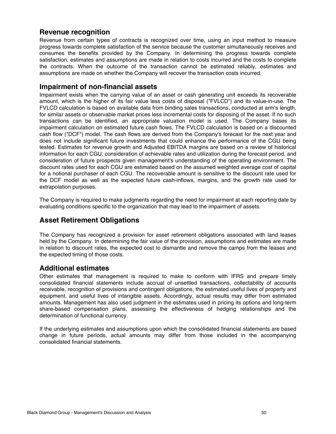#### **Revenue recognition**

Revenue from certain types of contracts is recognized over time, using an input method to measure progress towards complete satisfaction of the service because the customer simultaneously receives and consumes the benefits provided by the Company. In determining the progress towards complete satisfaction, estimates and assumptions are made in relation to costs incurred and the costs to complete the contracts. When the outcome of the transaction cannot be estimated reliably, estimates and assumptions are made on whether the Company will recover the transaction costs incurred.

#### **Impairment of non-financial assets**

Impairment exists when the carrying value of an asset or cash generating unit exceeds its recoverable amount, which is the higher of its fair value less costs of disposal ("FVLCD") and its value-in-use. The FVLCD calculation is based on available data from binding sales transactions, conducted at arm's length, for similar assets or observable market prices less incremental costs for disposing of the asset. If no such transactions can be identified, an appropriate valuation model is used. The Company bases its impairment calculation on estimated future cash flows. The FVLCD calculation is based on a discounted cash flow ("DCF") model. The cash flows are derived from the Company's forecast for the next year and does not include significant future investments that could enhance the performance of the CGU being tested. Estimates for revenue growth and Adjusted EBITDA margins are based on a review of historical information for each CGU, consideration of achievable rates and utilization during the forecast period, and consideration of future prospects given management's understanding of the operating environment. The discount rates used for each CGU are estimated based on the assumed weighted average cost of capital for a notional purchaser of each CGU. The recoverable amount is sensitive to the discount rate used for the DCF model as well as the expected future cash-inflows, margins, and the growth rate used for extrapolation purposes.

The Company is required to make judgments regarding the need for impairment at each reporting date by evaluating conditions specific to the organization that may lead to the impairment of assets.

#### **Asset Retirement Obligations**

The Company has recognized a provision for asset retirement obligations associated with land leases held by the Company. In determining the fair value of the provision, assumptions and estimates are made in relation to discount rates, the expected cost to dismantle and remove the camps from the leases and the expected timing of those costs.

#### **Additional estimates**

Other estimates that management is required to make to conform with IFRS and prepare timely consolidated financial statements include accrual of unsettled transactions, collectability of accounts receivable, recognition of provisions and contingent obligations, the estimated useful lives of property and equipment, and useful lives of intangible assets. Accordingly, actual results may differ from estimated amounts. Management has also used judgment in the estimates used in pricing its options and long-term share-based compensation plans, assessing the effectiveness of hedging relationships and the determination of functional currency.

If the underlying estimates and assumptions upon which the consolidated financial statements are based change in future periods, actual amounts may differ from those included in the accompanying consolidated financial statements.